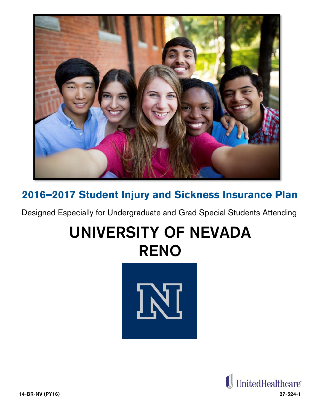

# **2016–2017 Student Injury and Sickness Insurance Plan**

Designed Especially for Undergraduate and Grad Special Students Attending

# UNIVERSITY OF NEVADA RENO



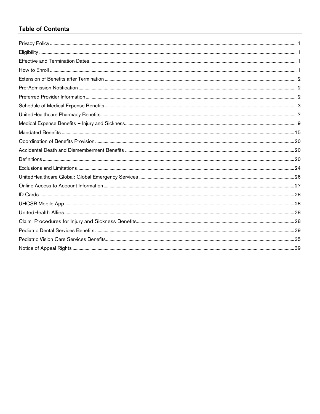# **Table of Contents**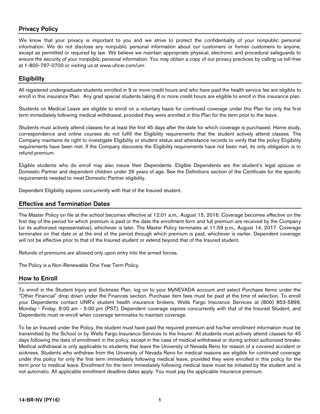# <span id="page-2-0"></span>Privacy Policy

We know that your privacy is important to you and we strive to protect the confidentiality of your nonpublic personal information. We do not disclose any nonpublic personal information about our customers or former customers to anyone, except as permitted or required by law. We believe we maintain appropriate physical, electronic and procedural safeguards to ensure the security of your nonpublic personal information. You may obtain a copy of our privacy practices by calling us toll-free at 1-800-767-0700 or visiting us at www.uhcsr.com/unr.

# <span id="page-2-1"></span>**Eligibility**

All registered undergraduate students enrolled in 9 or more credit hours and who have paid the health service fee are eligible to enroll in this insurance Plan. Any grad special students taking 6 or more credit hours are eligible to enroll in this insurance plan.

Students on Medical Leave are eligible to enroll on a voluntary basis for continued coverage under this Plan for only the first term immediately following medical withdrawal, provided they were enrolled in this Plan for the term prior to the leave.

Students must actively attend classes for at least the first 45 days after the date for which coverage is purchased. Home study, correspondence and online courses do not fulfill the Eligibility requirements that the student actively attend classes. The Company maintains its right to investigate Eligibility or student status and attendance records to verify that the policy Eligibility requirements have been met. If the Company discovers the Eligibility requirements have not been met, its only obligation is to refund premium.

Eligible students who do enroll may also insure their Dependents. Eligible Dependents are the student's legal spouse or Domestic Partner and dependent children under 26 years of age. See the Definitions section of the Certificate for the specific requirements needed to meet Domestic Partner eligibility.

Dependent Eligibility expires concurrently with that of the Insured student.

# <span id="page-2-2"></span>Effective and Termination Dates

The Master Policy on file at the school becomes effective at 12:01 a.m., August 15, 2016. Coverage becomes effective on the first day of the period for which premium is paid or the date the enrollment form and full premium are received by the Company (or its authorized representative), whichever is later. The Master Policy terminates at 11:59 p.m., August 14, 2017. Coverage terminates on that date or at the end of the period through which premium is paid, whichever is earlier. Dependent coverage will not be effective prior to that of the Insured student or extend beyond that of the Insured student.

Refunds of premiums are allowed only upon entry into the armed forces.

The Policy is a Non-Renewable One Year Term Policy.

# <span id="page-2-3"></span>How to Enroll

To enroll in the Student Injury and Sickness Plan, log on to your MyNEVADA account and select Purchase Items under the "Other Financial" drop down under the Finances section. Purchase item fees must be paid at the time of selection. To enroll your Dependents contact UNR's student health insurance brokers, Wells Fargo Insurance Services at (800) 853-5899, Monday - Friday, 8:00 am - 5:00 pm (PST). Dependent coverage expires concurrently with that of the Insured Student, and Dependents must re-enroll when coverage terminates to maintain coverage.

To be an Insured under the Policy, the student must have paid the required premium and his/her enrollment information must be transmitted by the School or by Wells Fargo Insurance Services to the Insurer. All students must actively attend classes for 45 days following the date of enrollment in the policy, except in the case of medical withdrawal or during school authorized breaks. Medical withdrawal is only applicable to students that leave the University of Nevada Reno for reason of a covered accident or sickness. Students who withdraw from the University of Nevada Reno for medical reasons are eligible for continued coverage under this policy for only the first term immediately following medical leave, provided they were enrolled in this policy for the term prior to medical leave. Enrollment for the term immediately following medical leave must be initiated by the student and is not automatic. All applicable enrollment deadline dates apply. You must pay the applicable insurance premium.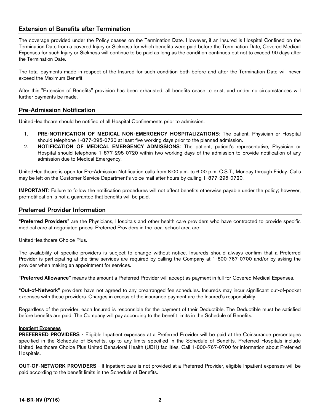# <span id="page-3-0"></span>Extension of Benefits after Termination

The coverage provided under the Policy ceases on the Termination Date. However, if an Insured is Hospital Confined on the Termination Date from a covered Injury or Sickness for which benefits were paid before the Termination Date, Covered Medical Expenses for such Injury or Sickness will continue to be paid as long as the condition continues but not to exceed 90 days after the Termination Date.

The total payments made in respect of the Insured for such condition both before and after the Termination Date will never exceed the Maximum Benefit.

After this "Extension of Benefits" provision has been exhausted, all benefits cease to exist, and under no circumstances will further payments be made.

# <span id="page-3-1"></span>Pre-Admission Notification

UnitedHealthcare should be notified of all Hospital Confinements prior to admission.

- 1. PRE-NOTIFICATION OF MEDICAL NON-EMERGENCY HOSPITALIZATIONS: The patient, Physician or Hospital should telephone 1-877-295-0720 at least five working days prior to the planned admission.
- 2. NOTIFICATION OF MEDICAL EMERGENCY ADMISSIONS: The patient, patient's representative, Physician or Hospital should telephone 1-877-295-0720 within two working days of the admission to provide notification of any admission due to Medical Emergency.

UnitedHealthcare is open for Pre-Admission Notification calls from 8:00 a.m. to 6:00 p.m. C.S.T., Monday through Friday. Calls may be left on the Customer Service Department's voice mail after hours by calling 1-877-295-0720.

IMPORTANT: Failure to follow the notification procedures will not affect benefits otherwise payable under the policy; however, pre-notification is not a guarantee that benefits will be paid.

# <span id="page-3-2"></span>Preferred Provider Information

"Preferred Providers" are the Physicians, Hospitals and other health care providers who have contracted to provide specific medical care at negotiated prices. Preferred Providers in the local school area are:

UnitedHealthcare Choice Plus.

The availability of specific providers is subject to change without notice. Insureds should always confirm that a Preferred Provider is participating at the time services are required by calling the Company at 1-800-767-0700 and/or by asking the provider when making an appointment for services.

"Preferred Allowance" means the amount a Preferred Provider will accept as payment in full for Covered Medical Expenses.

"Out-of-Network" providers have not agreed to any prearranged fee schedules. Insureds may incur significant out-of-pocket expenses with these providers. Charges in excess of the insurance payment are the Insured's responsibility.

Regardless of the provider, each Insured is responsible for the payment of their Deductible. The Deductible must be satisfied before benefits are paid. The Company will pay according to the benefit limits in the Schedule of Benefits.

#### Inpatient Expenses

PREFERRED PROVIDERS - Eligible Inpatient expenses at a Preferred Provider will be paid at the Coinsurance percentages specified in the Schedule of Benefits, up to any limits specified in the Schedule of Benefits. Preferred Hospitals include UnitedHealthcare Choice Plus United Behavioral Health (UBH) facilities. Call 1-800-767-0700 for information about Preferred Hospitals.

OUT-OF-NETWORK PROVIDERS - If Inpatient care is not provided at a Preferred Provider, eligible Inpatient expenses will be paid according to the benefit limits in the Schedule of Benefits.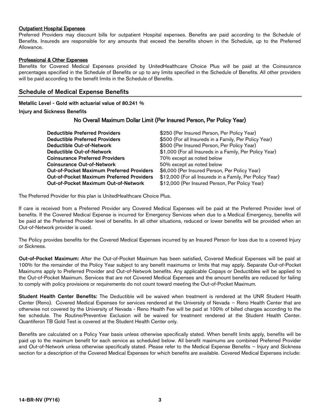#### Outpatient Hospital Expenses

Preferred Providers may discount bills for outpatient Hospital expenses. Benefits are paid according to the Schedule of Benefits. Insureds are responsible for any amounts that exceed the benefits shown in the Schedule, up to the Preferred Allowance.

#### Professional & Other Expenses

Benefits for Covered Medical Expenses provided by UnitedHealthcare Choice Plus will be paid at the Coinsurance percentages specified in the Schedule of Benefits or up to any limits specified in the Schedule of Benefits. All other providers will be paid according to the benefit limits in the Schedule of Benefits.

# <span id="page-4-0"></span>Schedule of Medical Expense Benefits

Metallic Level - Gold with actuarial value of 80.241 %

Injury and Sickness Benefits

# No Overall Maximum Dollar Limit (Per Insured Person, Per Policy Year)

| <b>Deductible Preferred Providers</b>            | \$250 (Per Insured Person, Per Policy Year)              |
|--------------------------------------------------|----------------------------------------------------------|
| <b>Deductible Preferred Providers</b>            | \$500 (For all Insureds in a Family, Per Policy Year)    |
| <b>Deductible Out-of-Network</b>                 | \$500 (Per Insured Person, Per Policy Year)              |
| Deductible Out-of-Network                        | \$1,000 (For all Insureds in a Family, Per Policy Year)  |
| <b>Coinsurance Preferred Providers</b>           | 70% except as noted below                                |
| <b>Coinsurance Out-of-Network</b>                | 50% except as noted below                                |
| <b>Out-of-Pocket Maximum Preferred Providers</b> | \$6,000 (Per Insured Person, Per Policy Year)            |
| <b>Out-of-Pocket Maximum Preferred Providers</b> | \$12,000 (For all Insureds in a Family, Per Policy Year) |
| <b>Out-of-Pocket Maximum Out-of-Network</b>      | \$12,000 (Per Insured Person, Per Policy Year)           |

The Preferred Provider for this plan is UnitedHealthcare Choice Plus.

If care is received from a Preferred Provider any Covered Medical Expenses will be paid at the Preferred Provider level of benefits. If the Covered Medical Expense is incurred for Emergency Services when due to a Medical Emergency, benefits will be paid at the Preferred Provider level of benefits. In all other situations, reduced or lower benefits will be provided when an Out-of-Network provider is used.

The Policy provides benefits for the Covered Medical Expenses incurred by an Insured Person for loss due to a covered Injury or Sickness.

Out-of-Pocket Maximum: After the Out-of-Pocket Maximum has been satisfied, Covered Medical Expenses will be paid at 100% for the remainder of the Policy Year subject to any benefit maximums or limits that may apply. Separate Out-of-Pocket Maximums apply to Preferred Provider and Out-of-Network benefits. Any applicable Copays or Deductibles will be applied to the Out-of-Pocket Maximum. Services that are not Covered Medical Expenses and the amount benefits are reduced for failing to comply with policy provisions or requirements do not count toward meeting the Out-of-Pocket Maximum.

Student Health Center Benefits: The Deductible will be waived when treatment is rendered at the UNR Student Health Center (Reno). Covered Medical Expenses for services rendered at the University of Nevada – Reno Health Center that are otherwise not covered by the University of Nevada - Reno Health Fee will be paid at 100% of billed charges according to the fee schedule. The Routine/Preventive Exclusion will be waived for treatment rendered at the Student Health Center. Quantiferon TB Gold Test is covered at the Student Health Center only.

Benefits are calculated on a Policy Year basis unless otherwise specifically stated. When benefit limits apply, benefits will be paid up to the maximum benefit for each service as scheduled below. All benefit maximums are combined Preferred Provider and Out-of-Network unless otherwise specifically stated. Please refer to the Medical Expense Benefits – Injury and Sickness section for a description of the Covered Medical Expenses for which benefits are available. Covered Medical Expenses include: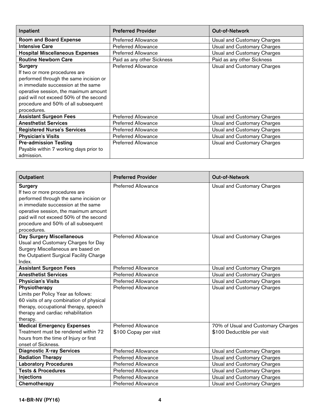| Inpatient                              | <b>Preferred Provider</b>  | <b>Out-of-Network</b>       |
|----------------------------------------|----------------------------|-----------------------------|
| <b>Room and Board Expense</b>          | <b>Preferred Allowance</b> | Usual and Customary Charges |
| <b>Intensive Care</b>                  | <b>Preferred Allowance</b> | Usual and Customary Charges |
| <b>Hospital Miscellaneous Expenses</b> | <b>Preferred Allowance</b> | Usual and Customary Charges |
| <b>Routine Newborn Care</b>            | Paid as any other Sickness | Paid as any other Sickness  |
| <b>Surgery</b>                         | <b>Preferred Allowance</b> | Usual and Customary Charges |
| If two or more procedures are          |                            |                             |
| performed through the same incision or |                            |                             |
| in immediate succession at the same    |                            |                             |
| operative session, the maximum amount  |                            |                             |
| paid will not exceed 50% of the second |                            |                             |
| procedure and 50% of all subsequent    |                            |                             |
| procedures.                            |                            |                             |
| <b>Assistant Surgeon Fees</b>          | <b>Preferred Allowance</b> | Usual and Customary Charges |
| <b>Anesthetist Services</b>            | <b>Preferred Allowance</b> | Usual and Customary Charges |
| <b>Registered Nurse's Services</b>     | <b>Preferred Allowance</b> | Usual and Customary Charges |
| <b>Physician's Visits</b>              | <b>Preferred Allowance</b> | Usual and Customary Charges |
| <b>Pre-admission Testing</b>           | <b>Preferred Allowance</b> | Usual and Customary Charges |
| Payable within 7 working days prior to |                            |                             |
| admission.                             |                            |                             |

| <b>Outpatient</b>                                                                                                                                                                                                                                                         | <b>Preferred Provider</b>  | <b>Out-of-Network</b>              |
|---------------------------------------------------------------------------------------------------------------------------------------------------------------------------------------------------------------------------------------------------------------------------|----------------------------|------------------------------------|
| <b>Surgery</b><br>If two or more procedures are<br>performed through the same incision or<br>in immediate succession at the same<br>operative session, the maximum amount<br>paid will not exceed 50% of the second<br>procedure and 50% of all subsequent<br>procedures. | <b>Preferred Allowance</b> | Usual and Customary Charges        |
| <b>Day Surgery Miscellaneous</b><br>Usual and Customary Charges for Day<br>Surgery Miscellaneous are based on<br>the Outpatient Surgical Facility Charge<br>Index.                                                                                                        | <b>Preferred Allowance</b> | Usual and Customary Charges        |
| <b>Assistant Surgeon Fees</b>                                                                                                                                                                                                                                             | <b>Preferred Allowance</b> | Usual and Customary Charges        |
| <b>Anesthetist Services</b>                                                                                                                                                                                                                                               | <b>Preferred Allowance</b> | Usual and Customary Charges        |
| <b>Physician's Visits</b>                                                                                                                                                                                                                                                 | <b>Preferred Allowance</b> | <b>Usual and Customary Charges</b> |
| Physiotherapy<br>Limits per Policy Year as follows:<br>60 visits of any combination of physical<br>therapy, occupational therapy, speech<br>therapy and cardiac rehabilitation<br>therapy.                                                                                | <b>Preferred Allowance</b> | Usual and Customary Charges        |
| <b>Medical Emergency Expenses</b>                                                                                                                                                                                                                                         | <b>Preferred Allowance</b> | 70% of Usual and Customary Charges |
| Treatment must be rendered within 72<br>hours from the time of Injury or first<br>onset of Sickness.                                                                                                                                                                      | \$100 Copay per visit      | \$100 Deductible per visit         |
| <b>Diagnostic X-ray Services</b>                                                                                                                                                                                                                                          | <b>Preferred Allowance</b> | Usual and Customary Charges        |
| <b>Radiation Therapy</b>                                                                                                                                                                                                                                                  | <b>Preferred Allowance</b> | Usual and Customary Charges        |
| <b>Laboratory Procedures</b>                                                                                                                                                                                                                                              | <b>Preferred Allowance</b> | Usual and Customary Charges        |
| <b>Tests &amp; Procedures</b>                                                                                                                                                                                                                                             | <b>Preferred Allowance</b> | Usual and Customary Charges        |
| Injections                                                                                                                                                                                                                                                                | <b>Preferred Allowance</b> | Usual and Customary Charges        |
| Chemotherapy                                                                                                                                                                                                                                                              | <b>Preferred Allowance</b> | <b>Usual and Customary Charges</b> |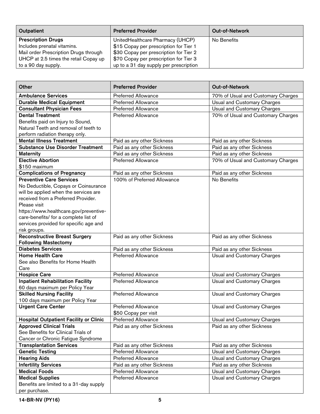| Outpatient                            | <b>Preferred Provider</b>              | <b>Out-of-Network</b> |
|---------------------------------------|----------------------------------------|-----------------------|
| <b>Prescription Drugs</b>             | UnitedHealthcare Pharmacy (UHCP)       | No Benefits           |
| Includes prenatal vitamins.           | \$15 Copay per prescription for Tier 1 |                       |
| Mail order Prescription Drugs through | \$30 Copay per prescription for Tier 2 |                       |
| UHCP at 2.5 times the retail Copay up | \$70 Copay per prescription for Tier 3 |                       |
| to a 90 day supply.                   | up to a 31 day supply per prescription |                       |

| <b>Other</b>                                  | <b>Preferred Provider</b>                                | <b>Out-of-Network</b>              |
|-----------------------------------------------|----------------------------------------------------------|------------------------------------|
| <b>Ambulance Services</b>                     | Preferred Allowance                                      | 70% of Usual and Customary Charges |
| Durable Medical Equipment                     | <b>Preferred Allowance</b>                               | <b>Usual and Customary Charges</b> |
| <b>Consultant Physician Fees</b>              | <b>Preferred Allowance</b>                               | <b>Usual and Customary Charges</b> |
| <b>Dental Treatment</b>                       | <b>Preferred Allowance</b>                               | 70% of Usual and Customary Charges |
| Benefits paid on Injury to Sound,             |                                                          |                                    |
| Natural Teeth and removal of teeth to         |                                                          |                                    |
| perform radiation therapy only.               |                                                          |                                    |
| <b>Mental Illness Treatment</b>               | Paid as any other Sickness                               | Paid as any other Sickness         |
| <b>Substance Use Disorder Treatment</b>       | Paid as any other Sickness                               | Paid as any other Sickness         |
| <b>Maternity</b>                              | Paid as any other Sickness                               | Paid as any other Sickness         |
| <b>Elective Abortion</b>                      | <b>Preferred Allowance</b>                               | 70% of Usual and Customary Charges |
| \$150 maximum                                 |                                                          |                                    |
| <b>Complications of Pregnancy</b>             | Paid as any other Sickness                               | Paid as any other Sickness         |
| <b>Preventive Care Services</b>               | 100% of Preferred Allowance                              | No Benefits                        |
| No Deductible, Copays or Coinsurance          |                                                          |                                    |
| will be applied when the services are         |                                                          |                                    |
| received from a Preferred Provider.           |                                                          |                                    |
| Please visit                                  |                                                          |                                    |
| https://www.healthcare.gov/preventive-        |                                                          |                                    |
| care-benefits/ for a complete list of         |                                                          |                                    |
| services provided for specific age and        |                                                          |                                    |
| risk groups.                                  |                                                          |                                    |
| <b>Reconstructive Breast Surgery</b>          | Paid as any other Sickness                               | Paid as any other Sickness         |
| <b>Following Mastectomy</b>                   |                                                          |                                    |
| <b>Diabetes Services</b>                      | Paid as any other Sickness                               | Paid as any other Sickness         |
| <b>Home Health Care</b>                       | <b>Preferred Allowance</b>                               | <b>Usual and Customary Charges</b> |
| See also Benefits for Home Health             |                                                          |                                    |
| Care                                          |                                                          |                                    |
| <b>Hospice Care</b>                           | <b>Preferred Allowance</b>                               | Usual and Customary Charges        |
| <b>Inpatient Rehabilitation Facility</b>      | <b>Preferred Allowance</b>                               | Usual and Customary Charges        |
| 60 days maximum per Policy Year               |                                                          |                                    |
| <b>Skilled Nursing Facility</b>               | <b>Preferred Allowance</b>                               | Usual and Customary Charges        |
| 100 days maximum per Policy Year              |                                                          |                                    |
| <b>Urgent Care Center</b>                     | <b>Preferred Allowance</b>                               | Usual and Customary Charges        |
| <b>Hospital Outpatient Facility or Clinic</b> | \$50 Copay per visit                                     |                                    |
| <b>Approved Clinical Trials</b>               | <b>Preferred Allowance</b>                               | Usual and Customary Charges        |
| See Benefits for Clinical Trials of           | Paid as any other Sickness                               | Paid as any other Sickness         |
| Cancer or Chronic Fatigue Syndrome            |                                                          |                                    |
|                                               |                                                          |                                    |
| <b>Transplantation Services</b>               | Paid as any other Sickness<br><b>Preferred Allowance</b> | Paid as any other Sickness         |
| <b>Genetic Testing</b><br><b>Hearing Aids</b> | <b>Preferred Allowance</b>                               | Usual and Customary Charges        |
| <b>Infertility Services</b>                   |                                                          | Usual and Customary Charges        |
|                                               | Paid as any other Sickness                               | Paid as any other Sickness         |
| <b>Medical Foods</b>                          | <b>Preferred Allowance</b><br><b>Preferred Allowance</b> | <b>Usual and Customary Charges</b> |
| <b>Medical Supplies</b>                       |                                                          | <b>Usual and Customary Charges</b> |
| Benefits are limited to a 31-day supply       |                                                          |                                    |
| per purchase.                                 |                                                          |                                    |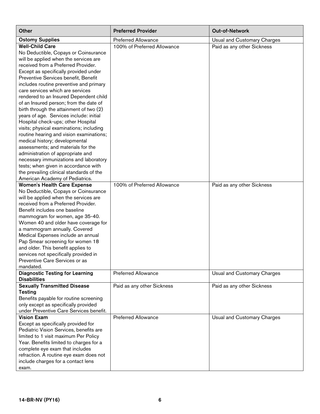| Other                                    | <b>Preferred Provider</b>   | <b>Out-of-Network</b>              |
|------------------------------------------|-----------------------------|------------------------------------|
| <b>Ostomy Supplies</b>                   | <b>Preferred Allowance</b>  | Usual and Customary Charges        |
| <b>Well-Child Care</b>                   | 100% of Preferred Allowance | Paid as any other Sickness         |
| No Deductible, Copays or Coinsurance     |                             |                                    |
| will be applied when the services are    |                             |                                    |
| received from a Preferred Provider.      |                             |                                    |
| Except as specifically provided under    |                             |                                    |
| Preventive Services benefit, Benefit     |                             |                                    |
| includes routine preventive and primary  |                             |                                    |
| care services which are services         |                             |                                    |
| rendered to an Insured Dependent child   |                             |                                    |
| of an Insured person; from the date of   |                             |                                    |
| birth through the attainment of two (2)  |                             |                                    |
| years of age. Services include: initial  |                             |                                    |
| Hospital check-ups; other Hospital       |                             |                                    |
| visits; physical examinations; including |                             |                                    |
| routine hearing and vision examinations; |                             |                                    |
| medical history; developmental           |                             |                                    |
| assessments; and materials for the       |                             |                                    |
| administration of appropriate and        |                             |                                    |
| necessary immunizations and laboratory   |                             |                                    |
| tests; when given in accordance with     |                             |                                    |
| the prevailing clinical standards of the |                             |                                    |
| American Academy of Pediatrics.          |                             |                                    |
| <b>Women's Health Care Expense</b>       | 100% of Preferred Allowance | Paid as any other Sickness         |
| No Deductible, Copays or Coinsurance     |                             |                                    |
| will be applied when the services are    |                             |                                    |
| received from a Preferred Provider.      |                             |                                    |
| Benefit includes one baseline            |                             |                                    |
| mammogram for women, age 35-40.          |                             |                                    |
| Women 40 and older have coverage for     |                             |                                    |
| a mammogram annually. Covered            |                             |                                    |
| Medical Expenses include an annual       |                             |                                    |
| Pap Smear screening for women 18         |                             |                                    |
| and older. This benefit applies to       |                             |                                    |
| services not specifically provided in    |                             |                                    |
| Preventive Care Services or as           |                             |                                    |
| mandated.                                |                             |                                    |
| <b>Diagnostic Testing for Learning</b>   | <b>Preferred Allowance</b>  | Usual and Customary Charges        |
| <b>Disabilities</b>                      |                             |                                    |
| <b>Sexually Transmitted Disease</b>      | Paid as any other Sickness  | Paid as any other Sickness         |
| <b>Testing</b>                           |                             |                                    |
| Benefits payable for routine screening   |                             |                                    |
| only except as specifically provided     |                             |                                    |
| under Preventive Care Services benefit.  |                             |                                    |
| <b>Vision Exam</b>                       | <b>Preferred Allowance</b>  | <b>Usual and Customary Charges</b> |
| Except as specifically provided for      |                             |                                    |
| Pediatric Vision Services, benefits are  |                             |                                    |
| limited to 1 visit maximum Per Policy    |                             |                                    |
| Year. Benefits limited to charges for a  |                             |                                    |
| complete eye exam that includes          |                             |                                    |
| refraction. A routine eye exam does not  |                             |                                    |
| include charges for a contact lens       |                             |                                    |
| exam.                                    |                             |                                    |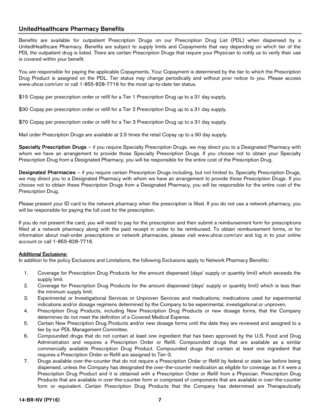# <span id="page-8-0"></span>UnitedHealthcare Pharmacy Benefits

Benefits are available for outpatient Prescription Drugs on our Prescription Drug List (PDL) when dispensed by a UnitedHealthcare Pharmacy. Benefits are subject to supply limits and Copayments that vary depending on which tier of the PDL the outpatient drug is listed. There are certain Prescription Drugs that require your Physician to notify us to verify their use is covered within your benefit.

You are responsible for paying the applicable Copayments. Your Copayment is determined by the tier to which the Prescription Drug Product is assigned on the PDL. Tier status may change periodically and without prior notice to you. Please access www.uhcsr.com/unr or call 1-855-828-7716 for the most up-to-date tier status.

\$15 Copay per prescription order or refill for a Tier 1 Prescription Drug up to a 31 day supply.

\$30 Copay per prescription order or refill for a Tier 2 Prescription Drug up to a 31 day supply.

\$70 Copay per prescription order or refill for a Tier 3 Prescription Drug up to a 31 day supply.

Mail order Prescription Drugs are available at 2.5 times the retail Copay up to a 90 day supply.

Specialty Prescription Drugs – if you require Specialty Prescription Drugs, we may direct you to a Designated Pharmacy with whom we have an arrangement to provide those Specialty Prescription Drugs. If you choose not to obtain your Specialty Prescription Drug from a Designated Pharmacy, you will be responsible for the entire cost of the Prescription Drug.

Designated Pharmacies – if you require certain Prescription Drugs including, but not limited to, Specialty Prescription Drugs, we may direct you to a Designated Pharmacy with whom we have an arrangement to provide those Prescription Drugs. If you choose not to obtain these Prescription Drugs from a Designated Pharmacy, you will be responsible for the entire cost of the Prescription Drug.

Please present your ID card to the network pharmacy when the prescription is filled. If you do not use a network pharmacy, you will be responsible for paying the full cost for the prescription.

If you do not present the card, you will need to pay for the prescription and then submit a reimbursement form for prescriptions filled at a network pharmacy along with the paid receipt in order to be reimbursed. To obtain reimbursement forms, or for information about mail-order prescriptions or network pharmacies, please visit www.uhcsr.com/unr and log in to your online account or call 1-855-828-7716.

#### Additional Exclusions:

In addition to the policy Exclusions and Limitations, the following Exclusions apply to Network Pharmacy Benefits:

- 1. Coverage for Prescription Drug Products for the amount dispensed (days' supply or quantity limit) which exceeds the supply limit.
- 2. Coverage for Prescription Drug Products for the amount dispensed (days' supply or quantity limit) which is less than the minimum supply limit.
- 3. Experimental or Investigational Services or Unproven Services and medications; medications used for experimental indications and/or dosage regimens determined by the Company to be experimental, investigational or unproven.
- 4. Prescription Drug Products, including New Prescription Drug Products or new dosage forms, that the Company determines do not meet the definition of a Covered Medical Expense.
- 5. Certain New Prescription Drug Products and/or new dosage forms until the date they are reviewed and assigned to a tier by our PDL Management Committee.
- 6. Compounded drugs that do not contain at least one ingredient that has been approved by the U.S. Food and Drug Administration and requires a Prescription Order or Refill. Compounded drugs that are available as a similar commercially available Prescription Drug Product. Compounded drugs that contain at least one ingredient that requires a Prescription Order or Refill are assigned to Tier-3.
- 7. Drugs available over-the-counter that do not require a Prescription Order or Refill by federal or state law before being dispensed, unless the Company has designated the over-the-counter medication as eligible for coverage as if it were a Prescription Drug Product and it is obtained with a Prescription Order or Refill from a Physician. Prescription Drug Products that are available in over-the-counter form or comprised of components that are available in over-the-counter form or equivalent. Certain Prescription Drug Products that the Company has determined are Therapeutically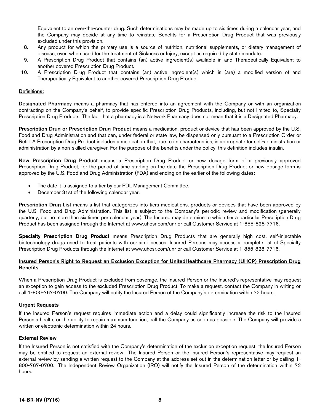Equivalent to an over-the-counter drug. Such determinations may be made up to six times during a calendar year, and the Company may decide at any time to reinstate Benefits for a Prescription Drug Product that was previously excluded under this provision.

- 8. Any product for which the primary use is a source of nutrition, nutritional supplements, or dietary management of disease, even when used for the treatment of Sickness or Injury, except as required by state mandate.
- 9. A Prescription Drug Product that contains (an) active ingredient(s) available in and Therapeutically Equivalent to another covered Prescription Drug Product.
- 10. A Prescription Drug Product that contains (an) active ingredient(s) which is (are) a modified version of and Therapeutically Equivalent to another covered Prescription Drug Product.

#### Definitions:

Designated Pharmacy means a pharmacy that has entered into an agreement with the Company or with an organization contracting on the Company's behalf, to provide specific Prescription Drug Products, including, but not limited to, Specialty Prescription Drug Products. The fact that a pharmacy is a Network Pharmacy does not mean that it is a Designated Pharmacy.

Prescription Drug or Prescription Drug Product means a medication, product or device that has been approved by the U.S. Food and Drug Administration and that can, under federal or state law, be dispensed only pursuant to a Prescription Order or Refill. A Prescription Drug Product includes a medication that, due to its characteristics, is appropriate for self-administration or administration by a non-skilled caregiver. For the purpose of the benefits under the policy, this definition includes insulin.

New Prescription Drug Product means a Prescription Drug Product or new dosage form of a previously approved Prescription Drug Product, for the period of time starting on the date the Prescription Drug Product or new dosage form is approved by the U.S. Food and Drug Administration (FDA) and ending on the earlier of the following dates:

- The date it is assigned to a tier by our PDL Management Committee.
- December 31st of the following calendar year.

Prescription Drug List means a list that categorizes into tiers medications, products or devices that have been approved by the U.S. Food and Drug Administration. This list is subject to the Company's periodic review and modification (generally quarterly, but no more than six times per calendar year). The Insured may determine to which tier a particular Prescription Drug Product has been assigned through the Internet at www.uhcsr.com/unr or call Customer Service at 1-855-828-7716.

Specialty Prescription Drug Product means Prescription Drug Products that are generally high cost, self-injectable biotechnology drugs used to treat patients with certain illnesses. Insured Persons may access a complete list of Specialty Prescription Drug Products through the Internet at www.uhcsr.com/unr or call Customer Service at 1-855-828-7716.

#### Insured Person's Right to Request an Exclusion Exception for UnitedHealthcare Pharmacy (UHCP) Prescription Drug **Benefits**

When a Prescription Drug Product is excluded from coverage, the Insured Person or the Insured's representative may request an exception to gain access to the excluded Prescription Drug Product. To make a request, contact the Company in writing or call 1-800-767-0700. The Company will notify the Insured Person of the Company's determination within 72 hours.

#### Urgent Requests

If the Insured Person's request requires immediate action and a delay could significantly increase the risk to the Insured Person's health, or the ability to regain maximum function, call the Company as soon as possible. The Company will provide a written or electronic determination within 24 hours.

# External Review

If the Insured Person is not satisfied with the Company's determination of the exclusion exception request, the Insured Person may be entitled to request an external review. The Insured Person or the Insured Person's representative may request an external review by sending a written request to the Company at the address set out in the determination letter or by calling 1- 800-767-0700. The Independent Review Organization (IRO) will notify the Insured Person of the determination within 72 hours.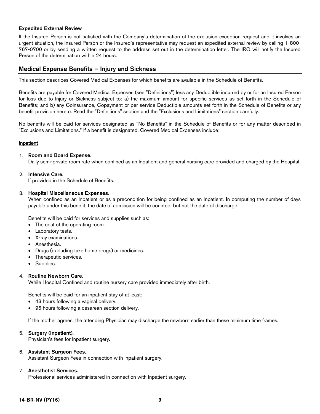#### Expedited External Review

If the Insured Person is not satisfied with the Company's determination of the exclusion exception request and it involves an urgent situation, the Insured Person or the Insured's representative may request an expedited external review by calling 1-800- 767-0700 or by sending a written request to the address set out in the determination letter. The IRO will notify the Insured Person of the determination within 24 hours.

# <span id="page-10-0"></span>Medical Expense Benefits – Injury and Sickness

This section describes Covered Medical Expenses for which benefits are available in the Schedule of Benefits.

Benefits are payable for Covered Medical Expenses (see "Definitions") less any Deductible incurred by or for an Insured Person for loss due to Injury or Sickness subject to: a) the maximum amount for specific services as set forth in the Schedule of Benefits; and b) any Coinsurance, Copayment or per service Deductible amounts set forth in the Schedule of Benefits or any benefit provision hereto. Read the "Definitions" section and the "Exclusions and Limitations" section carefully.

No benefits will be paid for services designated as "No Benefits" in the Schedule of Benefits or for any matter described in "Exclusions and Limitations." If a benefit is designated, Covered Medical Expenses include:

#### **Inpatient**

#### 1. Room and Board Expense.

Daily semi-private room rate when confined as an Inpatient and general nursing care provided and charged by the Hospital.

#### 2. Intensive Care.

If provided in the Schedule of Benefits.

#### 3. Hospital Miscellaneous Expenses.

When confined as an Inpatient or as a precondition for being confined as an Inpatient. In computing the number of days payable under this benefit, the date of admission will be counted, but not the date of discharge.

Benefits will be paid for services and supplies such as:

- The cost of the operating room.
- Laboratory tests.
- X-ray examinations.
- Anesthesia.
- Drugs (excluding take home drugs) or medicines.
- Therapeutic services.
- Supplies.

#### 4. Routine Newborn Care.

While Hospital Confined and routine nursery care provided immediately after birth.

Benefits will be paid for an inpatient stay of at least:

- 48 hours following a vaginal delivery.
- 96 hours following a cesarean section delivery.

If the mother agrees, the attending Physician may discharge the newborn earlier than these minimum time frames.

#### 5. Surgery (Inpatient).

Physician's fees for Inpatient surgery.

#### 6. Assistant Surgeon Fees.

Assistant Surgeon Fees in connection with Inpatient surgery.

#### 7. Anesthetist Services.

Professional services administered in connection with Inpatient surgery.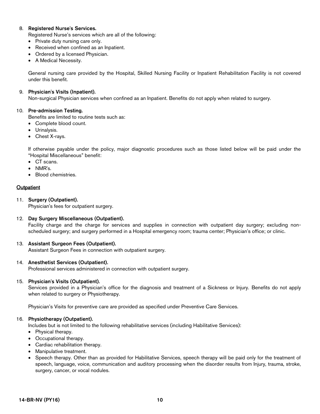#### 8. Registered Nurse's Services.

Registered Nurse's services which are all of the following:

- Private duty nursing care only.
- Received when confined as an Inpatient.
- Ordered by a licensed Physician.
- A Medical Necessity.

General nursing care provided by the Hospital, Skilled Nursing Facility or Inpatient Rehabilitation Facility is not covered under this benefit.

#### 9. Physician's Visits (Inpatient).

Non-surgical Physician services when confined as an Inpatient. Benefits do not apply when related to surgery.

#### 10. Pre-admission Testing.

Benefits are limited to routine tests such as:

- Complete blood count.
- Urinalysis.
- Chest X-rays.

If otherwise payable under the policy, major diagnostic procedures such as those listed below will be paid under the "Hospital Miscellaneous" benefit:

- CT scans.
- NMR's.
- Blood chemistries

#### **Outpatient**

#### 11. Surgery (Outpatient).

Physician's fees for outpatient surgery.

#### 12. Day Surgery Miscellaneous (Outpatient).

Facility charge and the charge for services and supplies in connection with outpatient day surgery; excluding nonscheduled surgery; and surgery performed in a Hospital emergency room; trauma center; Physician's office; or clinic.

#### 13. Assistant Surgeon Fees (Outpatient).

Assistant Surgeon Fees in connection with outpatient surgery.

#### 14. Anesthetist Services (Outpatient).

Professional services administered in connection with outpatient surgery.

#### 15. Physician's Visits (Outpatient).

Services provided in a Physician's office for the diagnosis and treatment of a Sickness or Injury. Benefits do not apply when related to surgery or Physiotherapy.

Physician's Visits for preventive care are provided as specified under Preventive Care Services.

#### 16. Physiotherapy (Outpatient).

Includes but is not limited to the following rehabilitative services (including Habilitative Services):

- Physical therapy.
- Occupational therapy.
- Cardiac rehabilitation therapy.
- Manipulative treatment.
- Speech therapy. Other than as provided for Habilitative Services, speech therapy will be paid only for the treatment of speech, language, voice, communication and auditory processing when the disorder results from Injury, trauma, stroke, surgery, cancer, or vocal nodules.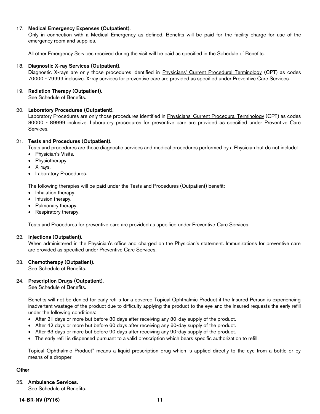#### 17. Medical Emergency Expenses (Outpatient).

Only in connection with a Medical Emergency as defined. Benefits will be paid for the facility charge for use of the emergency room and supplies.

All other Emergency Services received during the visit will be paid as specified in the Schedule of Benefits.

#### 18. Diagnostic X-ray Services (Outpatient).

Diagnostic X-rays are only those procedures identified in Physicians' Current Procedural Terminology (CPT) as codes 70000 - 79999 inclusive. X-ray services for preventive care are provided as specified under Preventive Care Services.

#### 19. Radiation Therapy (Outpatient).

See Schedule of Benefits.

#### 20. Laboratory Procedures (Outpatient).

Laboratory Procedures are only those procedures identified in Physicians' Current Procedural Terminology (CPT) as codes 80000 - 89999 inclusive. Laboratory procedures for preventive care are provided as specified under Preventive Care Services.

#### 21. Tests and Procedures (Outpatient).

Tests and procedures are those diagnostic services and medical procedures performed by a Physician but do not include:

- Physician's Visits.
- Physiotherapy.
- X-rays.
- Laboratory Procedures.

The following therapies will be paid under the Tests and Procedures (Outpatient) benefit:

- Inhalation therapy.
- Infusion therapy.
- Pulmonary therapy.
- Respiratory therapy.

Tests and Procedures for preventive care are provided as specified under Preventive Care Services.

#### 22. Injections (Outpatient).

When administered in the Physician's office and charged on the Physician's statement. Immunizations for preventive care are provided as specified under Preventive Care Services.

#### 23. Chemotherapy (Outpatient).

See Schedule of Benefits.

#### 24. Prescription Drugs (Outpatient).

See Schedule of Benefits.

Benefits will not be denied for early refills for a covered Topical Ophthalmic Product if the Insured Person is experiencing inadvertent wastage of the product due to difficulty applying the product to the eye and the Insured requests the early refill under the following conditions:

- After 21 days or more but before 30 days after receiving any 30-day supply of the product.
- After 42 days or more but before 60 days after receiving any 60-day supply of the product.
- After 63 days or more but before 90 days after receiving any 90-day supply of the product.
- The early refill is dispensed pursuant to a valid prescription which bears specific authorization to refill.

Topical Ophthalmic Product" means a liquid prescription drug which is applied directly to the eye from a bottle or by means of a dropper.

#### **Other**

#### 25. Ambulance Services.

See Schedule of Benefits.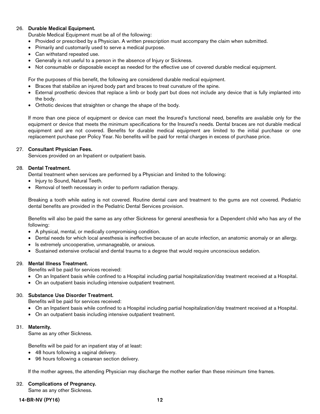#### 26. Durable Medical Equipment.

Durable Medical Equipment must be all of the following:

- Provided or prescribed by a Physician. A written prescription must accompany the claim when submitted.
- Primarily and customarily used to serve a medical purpose.
- Can withstand repeated use.
- Generally is not useful to a person in the absence of Injury or Sickness.
- Not consumable or disposable except as needed for the effective use of covered durable medical equipment.

For the purposes of this benefit, the following are considered durable medical equipment.

- Braces that stabilize an injured body part and braces to treat curvature of the spine.
- External prosthetic devices that replace a limb or body part but does not include any device that is fully implanted into the body.
- Orthotic devices that straighten or change the shape of the body.

If more than one piece of equipment or device can meet the Insured's functional need, benefits are available only for the equipment or device that meets the minimum specifications for the Insured's needs. Dental braces are not durable medical equipment and are not covered. Benefits for durable medical equipment are limited to the initial purchase or one replacement purchase per Policy Year. No benefits will be paid for rental charges in excess of purchase price.

#### 27. Consultant Physician Fees.

Services provided on an Inpatient or outpatient basis.

#### 28. Dental Treatment.

Dental treatment when services are performed by a Physician and limited to the following:

- Injury to Sound, Natural Teeth.
- Removal of teeth necessary in order to perform radiation therapy.

Breaking a tooth while eating is not covered. Routine dental care and treatment to the gums are not covered. Pediatric dental benefits are provided in the Pediatric Dental Services provision.

Benefits will also be paid the same as any other Sickness for general anesthesia for a Dependent child who has any of the following:

- A physical, mental, or medically compromising condition.
- Dental needs for which local anesthesia is ineffective because of an acute infection, an anatomic anomaly or an allergy.
- Is extremely uncooperative, unmanageable, or anxious.
- Sustained extensive orofacial and dental trauma to a degree that would require unconscious sedation.

#### 29. Mental Illness Treatment.

Benefits will be paid for services received:

- On an Inpatient basis while confined to a Hospital including partial hospitalization/day treatment received at a Hospital.
- On an outpatient basis including intensive outpatient treatment.

#### 30. Substance Use Disorder Treatment.

Benefits will be paid for services received:

- On an Inpatient basis while confined to a Hospital including partial hospitalization/day treatment received at a Hospital.
- On an outpatient basis including intensive outpatient treatment.

#### 31. Maternity.

Same as any other Sickness.

Benefits will be paid for an inpatient stay of at least:

- 48 hours following a vaginal delivery.
- 96 hours following a cesarean section delivery.

If the mother agrees, the attending Physician may discharge the mother earlier than these minimum time frames.

#### 32. Complications of Pregnancy.

Same as any other Sickness.

#### 14-BR-NV (PY16) 12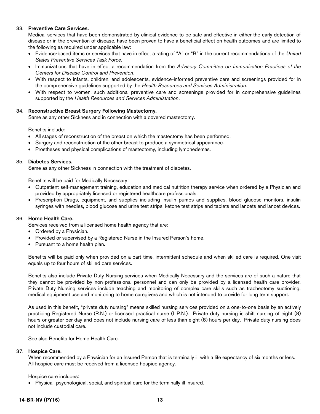#### 33. Preventive Care Services.

Medical services that have been demonstrated by clinical evidence to be safe and effective in either the early detection of disease or in the prevention of disease, have been proven to have a beneficial effect on health outcomes and are limited to the following as required under applicable law:

- Evidence-based items or services that have in effect a rating of "A" or "B" in the current recommendations of the *United States Preventive Services Task Force*.
- Immunizations that have in effect a recommendation from the *Advisory Committee on Immunization Practices of the Centers for Disease Control and Prevention*.
- With respect to infants, children, and adolescents, evidence-informed preventive care and screenings provided for in the comprehensive guidelines supported by the *Health Resources and Services Administration*.
- With respect to women, such additional preventive care and screenings provided for in comprehensive guidelines supported by the *Health Resources and Services Administration*.

#### 34. Reconstructive Breast Surgery Following Mastectomy.

Same as any other Sickness and in connection with a covered mastectomy.

#### Benefits include:

- All stages of reconstruction of the breast on which the mastectomy has been performed.
- Surgery and reconstruction of the other breast to produce a symmetrical appearance.
- Prostheses and physical complications of mastectomy, including lymphedemas.

#### 35. Diabetes Services.

Same as any other Sickness in connection with the treatment of diabetes.

Benefits will be paid for Medically Necessary:

- Outpatient self-management training, education and medical nutrition therapy service when ordered by a Physician and provided by appropriately licensed or registered healthcare professionals.
- Prescription Drugs, equipment, and supplies including insulin pumps and supplies, blood glucose monitors, insulin syringes with needles, blood glucose and urine test strips, ketone test strips and tablets and lancets and lancet devices.

#### 36. Home Health Care.

Services received from a licensed home health agency that are:

- Ordered by a Physician.
- Provided or supervised by a Registered Nurse in the Insured Person's home.
- Pursuant to a home health plan.

Benefits will be paid only when provided on a part-time, intermittent schedule and when skilled care is required. One visit equals up to four hours of skilled care services.

Benefits also include Private Duty Nursing services when Medically Necessary and the services are of such a nature that they cannot be provided by non-professional personnel and can only be provided by a licensed health care provider. Private Duty Nursing services include teaching and monitoring of complex care skills such as tracheotomy suctioning, medical equipment use and monitoring to home caregivers and which is not intended to provide for long term support.

As used in this benefit, "private duty nursing" means skilled nursing services provided on a one-to-one basis by an actively practicing Registered Nurse (R.N.) or licensed practical nurse (L.P.N.). Private duty nursing is shift nursing of eight (8) hours or greater per day and does not include nursing care of less than eight (8) hours per day. Private duty nursing does not include custodial care.

See also Benefits for Home Health Care.

#### 37. Hospice Care.

When recommended by a Physician for an Insured Person that is terminally ill with a life expectancy of six months or less. All hospice care must be received from a licensed hospice agency.

Hospice care includes:

Physical, psychological, social, and spiritual care for the terminally ill Insured.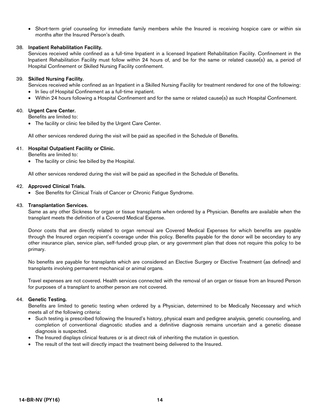• Short-term grief counseling for immediate family members while the Insured is receiving hospice care or within six months after the Insured Person's death.

#### 38. Inpatient Rehabilitation Facility.

Services received while confined as a full-time Inpatient in a licensed Inpatient Rehabilitation Facility. Confinement in the Inpatient Rehabilitation Facility must follow within 24 hours of, and be for the same or related cause(s) as, a period of Hospital Confinement or Skilled Nursing Facility confinement.

#### 39. Skilled Nursing Facility.

Services received while confined as an Inpatient in a Skilled Nursing Facility for treatment rendered for one of the following: • In lieu of Hospital Confinement as a full-time inpatient.

Within 24 hours following a Hospital Confinement and for the same or related cause(s) as such Hospital Confinement.

#### 40. Urgent Care Center.

Benefits are limited to:

The facility or clinic fee billed by the Urgent Care Center.

All other services rendered during the visit will be paid as specified in the Schedule of Benefits.

#### 41. Hospital Outpatient Facility or Clinic.

Benefits are limited to:

The facility or clinic fee billed by the Hospital.

All other services rendered during the visit will be paid as specified in the Schedule of Benefits.

#### 42. Approved Clinical Trials.

• See Benefits for Clinical Trials of Cancer or Chronic Fatigue Syndrome.

#### 43. Transplantation Services.

Same as any other Sickness for organ or tissue transplants when ordered by a Physician. Benefits are available when the transplant meets the definition of a Covered Medical Expense.

Donor costs that are directly related to organ removal are Covered Medical Expenses for which benefits are payable through the Insured organ recipient's coverage under this policy. Benefits payable for the donor will be secondary to any other insurance plan, service plan, self-funded group plan, or any government plan that does not require this policy to be primary.

No benefits are payable for transplants which are considered an Elective Surgery or Elective Treatment (as defined) and transplants involving permanent mechanical or animal organs.

Travel expenses are not covered. Health services connected with the removal of an organ or tissue from an Insured Person for purposes of a transplant to another person are not covered.

#### 44. Genetic Testing.

Benefits are limited to genetic testing when ordered by a Physician, determined to be Medically Necessary and which meets all of the following criteria:

- Such testing is prescribed following the Insured's history, physical exam and pedigree analysis, genetic counseling, and completion of conventional diagnostic studies and a definitive diagnosis remains uncertain and a genetic disease diagnosis is suspected.
- The Insured displays clinical features or is at direct risk of inheriting the mutation in question.
- The result of the test will directly impact the treatment being delivered to the Insured.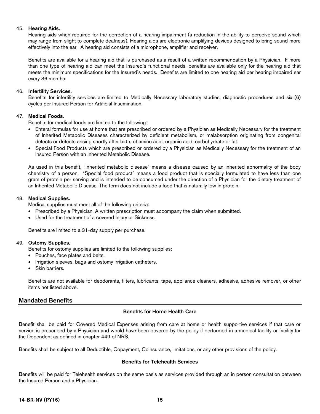#### 45. Hearing Aids.

Hearing aids when required for the correction of a hearing impairment (a reduction in the ability to perceive sound which may range from slight to complete deafness). Hearing aids are electronic amplifying devices designed to bring sound more effectively into the ear. A hearing aid consists of a microphone, amplifier and receiver.

Benefits are available for a hearing aid that is purchased as a result of a written recommendation by a Physician. If more than one type of hearing aid can meet the Insured's functional needs, benefits are available only for the hearing aid that meets the minimum specifications for the Insured's needs. Benefits are limited to one hearing aid per hearing impaired ear every 36 months.

#### 46. Infertility Services.

Benefits for infertility services are limited to Medically Necessary laboratory studies, diagnostic procedures and six (6) cycles per Insured Person for Artificial Insemination.

#### 47. Medical Foods.

Benefits for medical foods are limited to the following:

- Enteral formulas for use at home that are prescribed or ordered by a Physician as Medically Necessary for the treatment of Inherited Metabolic Diseases characterized by deficient metabolism, or malabsorption originating from congenital defects or defects arising shortly after birth, of amino acid, organic acid, carbohydrate or fat.
- Special Food Products which are prescribed or ordered by a Physician as Medically Necessary for the treatment of an Insured Person with an Inherited Metabolic Disease.

As used in this benefit, "Inherited metabolic disease" means a disease caused by an inherited abnormality of the body chemistry of a person. "Special food product" means a food product that is specially formulated to have less than one gram of protein per serving and is intended to be consumed under the direction of a Physician for the dietary treatment of an Inherited Metabolic Disease. The term does not include a food that is naturally low in protein.

#### 48. Medical Supplies.

Medical supplies must meet all of the following criteria:

- Prescribed by a Physician. A written prescription must accompany the claim when submitted.
- Used for the treatment of a covered Injury or Sickness.

Benefits are limited to a 31-day supply per purchase.

#### 49. Ostomy Supplies.

Benefits for ostomy supplies are limited to the following supplies:

- Pouches, face plates and belts.
- Irrigation sleeves, bags and ostomy irrigation catheters.
- Skin barriers.

Benefits are not available for deodorants, filters, lubricants, tape, appliance cleaners, adhesive, adhesive remover, or other items not listed above.

# <span id="page-16-0"></span>Mandated Benefits

#### Benefits for Home Health Care

Benefit shall be paid for Covered Medical Expenses arising from care at home or health supportive services if that care or service is prescribed by a Physician and would have been covered by the policy if performed in a medical facility or facility for the Dependent as defined in chapter 449 of NRS.

Benefits shall be subject to all Deductible, Copayment, Coinsurance, limitations, or any other provisions of the policy.

#### Benefits for Telehealth Services

Benefits will be paid for Telehealth services on the same basis as services provided through an in person consultation between the Insured Person and a Physician.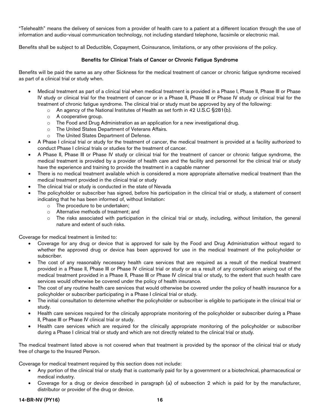"Telehealth" means the delivery of services from a provider of health care to a patient at a different location through the use of information and audio-visual communication technology, not including standard telephone, facsimile or electronic mail.

Benefits shall be subject to all Deductible, Copayment, Coinsurance, limitations, or any other provisions of the policy.

#### Benefits for Clinical Trials of Cancer or Chronic Fatigue Syndrome

Benefits will be paid the same as any other Sickness for the medical treatment of cancer or chronic fatigue syndrome received as part of a clinical trial or study when.

- Medical treatment as part of a clinical trial when medical treatment is provided in a Phase I, Phase II, Phase III or Phase IV study or clinical trial for the treatment of cancer or in a Phase II, Phase III or Phase IV study or clinical trial for the treatment of chronic fatigue syndrome. The clinical trial or study must be approved by any of the following:
	- $\circ$  An agency of the National Institutes of Health as set forth in 42 U.S.C §281(b).
	- o A cooperative group.
	- o The Food and Drug Administration as an application for a new investigational drug.
	- o The United States Department of Veterans Affairs.
	- o The United States Department of Defense.
- A Phase I clinical trial or study for the treatment of cancer, the medical treatment is provided at a facility authorized to conduct Phase I clinical trials or studies for the treatment of cancer.
- A Phase II, Phase III or Phase IV study or clinical trial for the treatment of cancer or chronic fatigue syndrome, the medical treatment is provided by a provider of health care and the facility and personnel for the clinical trial or study have the experience and training to provide the treatment in a capable manner
- There is no medical treatment available which is considered a more appropriate alternative medical treatment than the medical treatment provided in the clinical trial or study
- The clinical trial or study is conducted in the state of Nevada
- The policyholder or subscriber has signed, before his participation in the clinical trial or study, a statement of consent indicating that he has been informed of, without limitation:
	- o The procedure to be undertaken;
	- o Alternative methods of treatment; and
	- o The risks associated with participation in the clinical trial or study, including, without limitation, the general nature and extent of such risks.

Coverage for medical treatment is limited to:

- Coverage for any drug or device that is approved for sale by the Food and Drug Administration without regard to whether the approved drug or device has been approved for use in the medical treatment of the policyholder or subscriber.
- The cost of any reasonably necessary health care services that are required as a result of the medical treatment provided in a Phase II, Phase III or Phase IV clinical trial or study or as a result of any complication arising out of the medical treatment provided in a Phase II, Phase III or Phase IV clinical trial or study, to the extent that such health care services would otherwise be covered under the policy of health insurance.
- The cost of any routine health care services that would otherwise be covered under the policy of health insurance for a policyholder or subscriber participating in a Phase I clinical trial or study.
- The initial consultation to determine whether the policyholder or subscriber is eligible to participate in the clinical trial or study.
- Health care services required for the clinically appropriate monitoring of the policyholder or subscriber during a Phase II, Phase III or Phase IV clinical trial or study.
- Health care services which are required for the clinically appropriate monitoring of the policyholder or subscriber during a Phase I clinical trial or study and which are not directly related to the clinical trial or study.

The medical treatment listed above is not covered when that treatment is provided by the sponsor of the clinical trial or study free of charge to the Insured Person.

Coverage for medical treatment required by this section does not include:

- Any portion of the clinical trial or study that is customarily paid for by a government or a biotechnical, pharmaceutical or medical industry.
- Coverage for a drug or device described in paragraph (a) of subsection 2 which is paid for by the manufacturer, distributor or provider of the drug or device.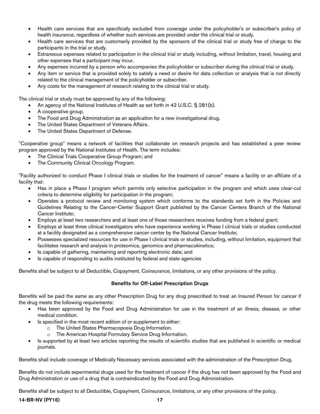- Health care services that are specifically excluded from coverage under the policyholder's or subscriber's policy of health insurance, regardless of whether such services are provided under the clinical trial or study.
- Health care services that are customarily provided by the sponsors of the clinical trial or study free of charge to the participants in the trial or study.
- Extraneous expenses related to participation in the clinical trial or study including, without limitation, travel, housing and other expenses that a participant may incur.
- Any expenses incurred by a person who accompanies the policyholder or subscriber during the clinical trial or study.
- Any item or service that is provided solely to satisfy a need or desire for data collection or analysis that is not directly related to the clinical management of the policyholder or subscriber.
- Any costs for the management of research relating to the clinical trial or study.

The clinical trial or study must be approved by any of the following:

- An agency of the National Institutes of Health as set forth in 42 U.S.C. § 281(b).
- A cooperative group.
- The Food and Drug Administration as an application for a new investigational drug.
- The United States Department of Veterans Affairs.
- The United States Department of Defense.

"Cooperative group" means a network of facilities that collaborate on research projects and has established a peer review program approved by the National Institutes of Health. The term includes:

- The Clinical Trials Cooperative Group Program; and
- The Community Clinical Oncology Program.

"Facility authorized to conduct Phase I clinical trials or studies for the treatment of cancer" means a facility or an affiliate of a facility that:

- Has in place a Phase I program which permits only selective participation in the program and which uses clear-cut criteria to determine eligibility for participation in the program;
- Operates a protocol review and monitoring system which conforms to the standards set forth in the Policies and Guidelines Relating to the Cancer-Center Support Grant published by the Cancer Centers Branch of the National Cancer Institute;
- Employs at least two researchers and at least one of those researchers receives funding from a federal grant;
- Employs at least three clinical investigators who have experience working in Phase I clinical trials or studies conducted at a facility designated as a comprehensive cancer center by the National Cancer Institute;
- Possesses specialized resources for use in Phase I clinical trials or studies, including, without limitation, equipment that facilitates research and analysis in proteomics, genomics and pharmacokinetics;
- Is capable of gathering, maintaining and reporting electronic data; and
- Is capable of responding to audits instituted by federal and state agencies

Benefits shall be subject to all Deductible, Copayment, Coinsurance, limitations, or any other provisions of the policy.

#### Benefits for Off-Label Prescription Drugs

Benefits will be paid the same as any other Prescription Drug for any drug prescribed to treat an Insured Person for cancer if the drug meets the following requirements:

- Has been approved by the Food and Drug Administration for use in the treatment of an illness, disease, or other medical condition.
- Is specified in the most recent edition of or supplement to either:
	- o The United States Pharmacopoeia Drug Information.
	- o The American Hospital Formulary Service Drug Information.
- Is supported by at least two articles reporting the results of scientific studies that are published in scientific or medical journals.

Benefits shall include coverage of Medically Necessary services associated with the administration of the Prescription Drug.

Benefits do not include experimental drugs used for the treatment of cancer if the drug has not been approved by the Food and Drug Administration or use of a drug that is contraindicated by the Food and Drug Administration.

Benefits shall be subject to all Deductible, Copayment, Coinsurance, limitations, or any other provisions of the policy.

14-BR-NV (PY16) 17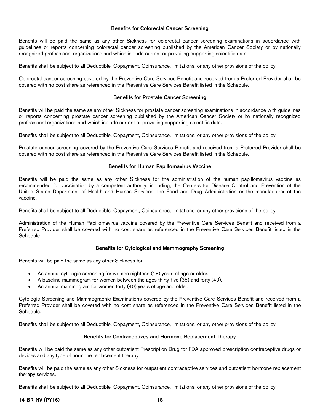#### Benefits for Colorectal Cancer Screening

Benefits will be paid the same as any other Sickness for colorectal cancer screening examinations in accordance with guidelines or reports concerning colorectal cancer screening published by the American Cancer Society or by nationally recognized professional organizations and which include current or prevailing supporting scientific data.

Benefits shall be subject to all Deductible, Copayment, Coinsurance, limitations, or any other provisions of the policy.

Colorectal cancer screening covered by the Preventive Care Services Benefit and received from a Preferred Provider shall be covered with no cost share as referenced in the Preventive Care Services Benefit listed in the Schedule.

#### Benefits for Prostate Cancer Screening

Benefits will be paid the same as any other Sickness for prostate cancer screening examinations in accordance with guidelines or reports concerning prostate cancer screening published by the American Cancer Society or by nationally recognized professional organizations and which include current or prevailing supporting scientific data.

Benefits shall be subject to all Deductible, Copayment, Coinsurance, limitations, or any other provisions of the policy.

Prostate cancer screening covered by the Preventive Care Services Benefit and received from a Preferred Provider shall be covered with no cost share as referenced in the Preventive Care Services Benefit listed in the Schedule.

#### Benefits for Human Papillomavirus Vaccine

Benefits will be paid the same as any other Sickness for the administration of the human papillomavirus vaccine as recommended for vaccination by a competent authority, including, the Centers for Disease Control and Prevention of the United States Department of Health and Human Services, the Food and Drug Administration or the manufacturer of the vaccine.

Benefits shall be subject to all Deductible, Copayment, Coinsurance, limitations, or any other provisions of the policy.

Administration of the Human Papillomavirus vaccine covered by the Preventive Care Services Benefit and received from a Preferred Provider shall be covered with no cost share as referenced in the Preventive Care Services Benefit listed in the Schedule.

#### Benefits for Cytological and Mammography Screening

Benefits will be paid the same as any other Sickness for:

- An annual cytologic screening for women eighteen (18) years of age or older.
- A baseline mammogram for women between the ages thirty-five (35) and forty (40).
- An annual mammogram for women forty (40) years of age and older.

Cytologic Screening and Mammographic Examinations covered by the Preventive Care Services Benefit and received from a Preferred Provider shall be covered with no cost share as referenced in the Preventive Care Services Benefit listed in the Schedule.

Benefits shall be subject to all Deductible, Copayment, Coinsurance, limitations, or any other provisions of the policy.

#### Benefits for Contraceptives and Hormone Replacement Therapy

Benefits will be paid the same as any other outpatient Prescription Drug for FDA approved prescription contraceptive drugs or devices and any type of hormone replacement therapy.

Benefits will be paid the same as any other Sickness for outpatient contraceptive services and outpatient hormone replacement therapy services.

Benefits shall be subject to all Deductible, Copayment, Coinsurance, limitations, or any other provisions of the policy.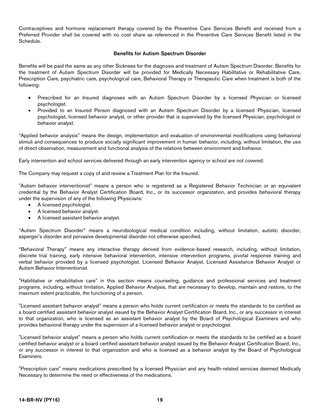Contraceptives and hormone replacement therapy covered by the Preventive Care Services Benefit and received from a Preferred Provider shall be covered with no cost share as referenced in the Preventive Care Services Benefit listed in the Schedule.

#### Benefits for Autism Spectrum Disorder

Benefits will be paid the same as any other Sickness for the diagnosis and treatment of Autism Spectrum Disorder. Benefits for the treatment of Autism Spectrum Disorder will be provided for Medically Necessary Habilitative or Rehabilitative Care, Prescription Care, psychiatric care, psychological care, Behavioral Therapy or Therapeutic Care when treatment is both of the following:

- Prescribed for an Insured diagnoses with an Autism Spectrum Disorder by a licensed Physician or licensed psychologist.
- Provided to an Insured Person diagnosed with an Autism Spectrum Disorder by a licensed Physician, licensed psychologist, licensed behavior analyst, or other provider that is supervised by the licensed Physician, psychologist or behavior analyst.

"Applied behavior analysis" means the design, implementation and evaluation of environmental modifications using behavioral stimuli and consequences to produce socially significant improvement in human behavior, including, without limitation, the use of direct observation, measurement and functional analysis of the relations between environment and behavior.

Early intervention and school services delivered through an early intervention agency or school are not covered.

The Company may request a copy of and review a Treatment Plan for the Insured.

"Autism behavior interventionist" means a person who is registered as a Registered Behavior Technician or an equivalent credential by the Behavior Analyst Certification Board, Inc., or its successor organization, and provides behavioral therapy under the supervision of any of the following Physicians:

- A licensed psychologist.
- A licensed behavior analyst.
- A licensed assistant behavior analyst.

"Autism Spectrum Disorder" means a neurobiological medical condition including, without limitation, autistic disorder, asperger's disorder and pervasive developmental disorder not otherwise specified.

"Behavioral Therapy" means any interactive therapy derived from evidence-based research, including, without limitation, discrete trial training, early intensive behavioral intervention, intensive intervention programs, pivotal response training and verbal behavior provided by a licensed psychologist, Licensed Behavior Analyst, Licensed Assistance Behavior Analyst or Autism Behavior Interventionist.

"Habilitative or rehabilitative care" in this section means counseling, guidance and professional services and treatment programs, including, without limitation, Applied Behavior Analysis, that are necessary to develop, maintain and restore, to the maximum extent practicable, the functioning of a person.

"Licensed assistant behavior analyst" means a person who holds current certification or meets the standards to be certified as a board certified assistant behavior analyst issued by the Behavior Analyst Certification Board, Inc., or any successor in interest to that organization, who is licensed as an assistant behavior analyst by the Board of Psychological Examiners and who provides behavioral therapy under the supervision of a licensed behavior analyst or psychologist.

"Licensed behavior analyst" means a person who holds current certification or meets the standards to be certified as a board certified behavior analyst or a board certified assistant behavior analyst issued by the Behavior Analyst Certification Board, Inc., or any successor in interest to that organization and who is licensed as a behavior analyst by the Board of Psychological Examiners.

"Prescription care" means medications prescribed by a licensed Physician and any health-related services deemed Medically Necessary to determine the need or effectiveness of the medications.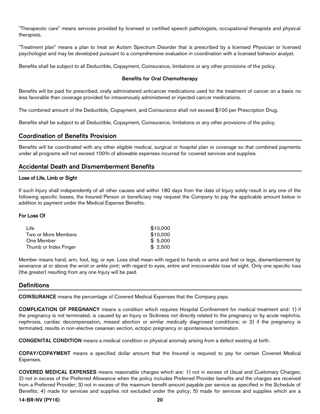"Therapeutic care" means services provided by licensed or certified speech pathologists, occupational therapists and physical therapists.

"Treatment plan" means a plan to treat an Autism Spectrum Disorder that is prescribed by a licensed Physician or licensed psychologist and may be developed pursuant to a comprehensive evaluation in coordination with a licensed behavior analyst.

Benefits shall be subject to all Deductible, Copayment, Coinsurance, limitations or any other provisions of the policy.

#### Benefits for Oral Chemotherapy

Benefits will be paid for prescribed, orally administered anticancer medications used for the treatment of cancer on a basis no less favorable than coverage provided for intravenously administered or injected cancer medications.

The combined amount of the Deductible, Copayment, and Coinsurance shall not exceed \$100 per Prescription Drug.

Benefits shall be subject to all Deductible, Copayment, Coinsurance, limitations or any other provisions of the policy.

# <span id="page-21-0"></span>Coordination of Benefits Provision

Benefits will be coordinated with any other eligible medical, surgical or hospital plan or coverage so that combined payments under all programs will not exceed 100% of allowable expenses incurred for covered services and supplies.

# <span id="page-21-1"></span>Accidental Death and Dismemberment Benefits

#### Loss of Life, Limb or Sight

If such Injury shall independently of all other causes and within 180 days from the date of Injury solely result in any one of the following specific losses, the Insured Person or beneficiary may request the Company to pay the applicable amount below in addition to payment under the Medical Expense Benefits.

# For Loss Of

| Life                  | \$10,000 |
|-----------------------|----------|
| Two or More Members   | \$10,000 |
| One Member            | \$5,000  |
| Thumb or Index Finger | \$2,500  |

Member means hand, arm, foot, leg, or eye. Loss shall mean with regard to hands or arms and feet or legs, dismemberment by severance at or above the wrist or ankle joint; with regard to eyes, entire and irrecoverable loss of sight. Only one specific loss (the greater) resulting from any one Injury will be paid.

# <span id="page-21-2"></span>**Definitions**

COINSURANCE means the percentage of Covered Medical Expenses that the Company pays.

COMPLICATION OF PREGNANCY means a condition which requires Hospital Confinement for medical treatment and: 1) if the pregnancy is not terminated, is caused by an Injury or Sickness not directly related to the pregnancy or by acute nephritis, nephrosis, cardiac decompensation, missed abortion or similar medically diagnosed conditions; or 2) if the pregnancy is terminated, results in non-elective cesarean section, ectopic pregnancy or spontaneous termination.

CONGENITAL CONDITION means a medical condition or physical anomaly arising from a defect existing at birth.

COPAY/COPAYMENT means a specified dollar amount that the Insured is required to pay for certain Covered Medical Expenses.

COVERED MEDICAL EXPENSES means reasonable charges which are: 1) not in excess of Usual and Customary Charges; 2) not in excess of the Preferred Allowance when the policy includes Preferred Provider benefits and the charges are received from a Preferred Provider; 3) not in excess of the maximum benefit amount payable per service as specified in the Schedule of Benefits; 4) made for services and supplies not excluded under the policy; 5) made for services and supplies which are a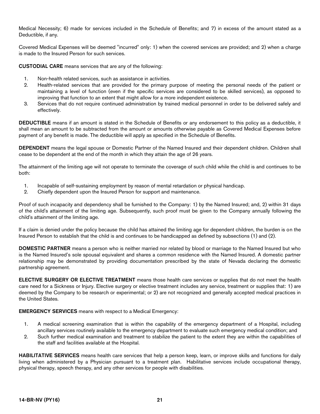Medical Necessity; 6) made for services included in the Schedule of Benefits; and 7) in excess of the amount stated as a Deductible, if any.

Covered Medical Expenses will be deemed "incurred" only: 1) when the covered services are provided; and 2) when a charge is made to the Insured Person for such services.

CUSTODIAL CARE means services that are any of the following:

- 1. Non-health related services, such as assistance in activities.
- 2. Health-related services that are provided for the primary purpose of meeting the personal needs of the patient or maintaining a level of function (even if the specific services are considered to be skilled services), as opposed to improving that function to an extent that might allow for a more independent existence.
- 3. Services that do not require continued administration by trained medical personnel in order to be delivered safely and effectively.

DEDUCTIBLE means if an amount is stated in the Schedule of Benefits or any endorsement to this policy as a deductible, it shall mean an amount to be subtracted from the amount or amounts otherwise payable as Covered Medical Expenses before payment of any benefit is made. The deductible will apply as specified in the Schedule of Benefits.

DEPENDENT means the legal spouse or Domestic Partner of the Named Insured and their dependent children. Children shall cease to be dependent at the end of the month in which they attain the age of 26 years.

The attainment of the limiting age will not operate to terminate the coverage of such child while the child is and continues to be both:

- 1. Incapable of self-sustaining employment by reason of mental retardation or physical handicap.
- 2. Chiefly dependent upon the Insured Person for support and maintenance.

Proof of such incapacity and dependency shall be furnished to the Company: 1) by the Named Insured; and, 2) within 31 days of the child's attainment of the limiting age. Subsequently, such proof must be given to the Company annually following the child's attainment of the limiting age.

If a claim is denied under the policy because the child has attained the limiting age for dependent children, the burden is on the Insured Person to establish that the child is and continues to be handicapped as defined by subsections (1) and (2).

DOMESTIC PARTNER means a person who is neither married nor related by blood or marriage to the Named Insured but who is the Named Insured's sole spousal equivalent and shares a common residence with the Named Insured. A domestic partner relationship may be demonstrated by providing documentation prescribed by the state of Nevada declaring the domestic partnership agreement.

ELECTIVE SURGERY OR ELECTIVE TREATMENT means those health care services or supplies that do not meet the health care need for a Sickness or Injury. Elective surgery or elective treatment includes any service, treatment or supplies that: 1) are deemed by the Company to be research or experimental; or 2) are not recognized and generally accepted medical practices in the United States.

EMERGENCY SERVICES means with respect to a Medical Emergency:

- 1. A medical screening examination that is within the capability of the emergency department of a Hospital, including ancillary services routinely available to the emergency department to evaluate such emergency medical condition; and
- 2. Such further medical examination and treatment to stabilize the patient to the extent they are within the capabilities of the staff and facilities available at the Hospital.

HABILITATIVE SERVICES means health care services that help a person keep, learn, or improve skills and functions for daily living when administered by a Physician pursuant to a treatment plan. Habilitative services include occupational therapy, physical therapy, speech therapy, and any other services for people with disabilities.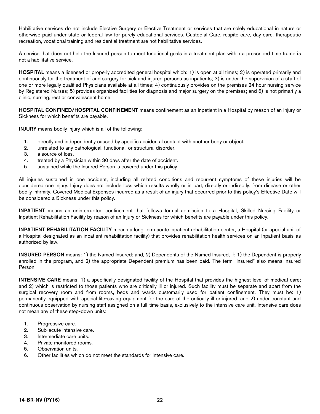Habilitative services do not include Elective Surgery or Elective Treatment or services that are solely educational in nature or otherwise paid under state or federal law for purely educational services. Custodial Care, respite care, day care, therapeutic recreation, vocational training and residential treatment are not habilitative services.

A service that does not help the Insured person to meet functional goals in a treatment plan within a prescribed time frame is not a habilitative service.

HOSPITAL means a licensed or properly accredited general hospital which: 1) is open at all times; 2) is operated primarily and continuously for the treatment of and surgery for sick and injured persons as inpatients; 3) is under the supervision of a staff of one or more legally qualified Physicians available at all times; 4) continuously provides on the premises 24 hour nursing service by Registered Nurses; 5) provides organized facilities for diagnosis and major surgery on the premises; and 6) is not primarily a clinic, nursing, rest or convalescent home.

HOSPITAL CONFINED/HOSPITAL CONFINEMENT means confinement as an Inpatient in a Hospital by reason of an Injury or Sickness for which benefits are payable.

INJURY means bodily injury which is all of the following:

- 1. directly and independently caused by specific accidental contact with another body or object.
- 2. unrelated to any pathological, functional, or structural disorder.
- 3. a source of loss.
- 4. treated by a Physician within 30 days after the date of accident.
- 5. sustained while the Insured Person is covered under this policy.

All injuries sustained in one accident, including all related conditions and recurrent symptoms of these injuries will be considered one injury. Injury does not include loss which results wholly or in part, directly or indirectly, from disease or other bodily infirmity. Covered Medical Expenses incurred as a result of an injury that occurred prior to this policy's Effective Date will be considered a Sickness under this policy.

INPATIENT means an uninterrupted confinement that follows formal admission to a Hospital, Skilled Nursing Facility or Inpatient Rehabilitation Facility by reason of an Injury or Sickness for which benefits are payable under this policy.

INPATIENT REHABILITATION FACILITY means a long term acute inpatient rehabilitation center, a Hospital (or special unit of a Hospital designated as an inpatient rehabilitation facility) that provides rehabilitation health services on an Inpatient basis as authorized by law.

INSURED PERSON means: 1) the Named Insured; and, 2) Dependents of the Named Insured, if: 1) the Dependent is properly enrolled in the program, and 2) the appropriate Dependent premium has been paid. The term "Insured" also means Insured Person.

INTENSIVE CARE means: 1) a specifically designated facility of the Hospital that provides the highest level of medical care; and 2) which is restricted to those patients who are critically ill or injured. Such facility must be separate and apart from the surgical recovery room and from rooms, beds and wards customarily used for patient confinement. They must be: 1) permanently equipped with special life-saving equipment for the care of the critically ill or injured; and 2) under constant and continuous observation by nursing staff assigned on a full-time basis, exclusively to the intensive care unit. Intensive care does not mean any of these step-down units:

- 1. Progressive care.
- 2. Sub-acute intensive care.
- 3. Intermediate care units.
- 4. Private monitored rooms.
- 5. Observation units.
- 6. Other facilities which do not meet the standards for intensive care.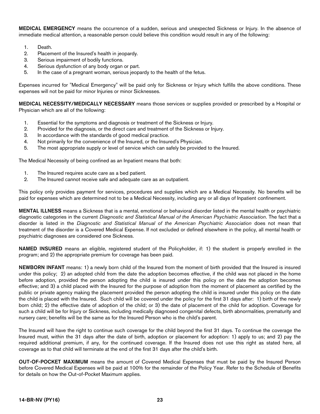MEDICAL EMERGENCY means the occurrence of a sudden, serious and unexpected Sickness or Injury. In the absence of immediate medical attention, a reasonable person could believe this condition would result in any of the following:

- 1. Death.
- 2. Placement of the Insured's health in jeopardy.
- 3. Serious impairment of bodily functions.
- 4. Serious dysfunction of any body organ or part.
- 5. In the case of a pregnant woman, serious jeopardy to the health of the fetus.

Expenses incurred for "Medical Emergency" will be paid only for Sickness or Injury which fulfills the above conditions. These expenses will not be paid for minor Injuries or minor Sicknesses.

MEDICAL NECESSITY/MEDICALLY NECESSARY means those services or supplies provided or prescribed by a Hospital or Physician which are all of the following:

- 1. Essential for the symptoms and diagnosis or treatment of the Sickness or Injury.
- 2. Provided for the diagnosis, or the direct care and treatment of the Sickness or Injury.
- 3. In accordance with the standards of good medical practice.
- 4. Not primarily for the convenience of the Insured, or the Insured's Physician.
- 5. The most appropriate supply or level of service which can safely be provided to the Insured.

The Medical Necessity of being confined as an Inpatient means that both:

- 1. The Insured requires acute care as a bed patient.
- 2. The Insured cannot receive safe and adequate care as an outpatient.

This policy only provides payment for services, procedures and supplies which are a Medical Necessity. No benefits will be paid for expenses which are determined not to be a Medical Necessity, including any or all days of Inpatient confinement.

MENTAL ILLNESS means a Sickness that is a mental, emotional or behavioral disorder listed in the mental health or psychiatric diagnostic categories in the current *Diagnostic and Statistical Manual of the American Psychiatric Association*. The fact that a disorder is listed in the *Diagnostic and Statistical Manual of the American Psychiatric Association* does not mean that treatment of the disorder is a Covered Medical Expense. If not excluded or defined elsewhere in the policy, all mental health or psychiatric diagnoses are considered one Sickness.

NAMED INSURED means an eligible, registered student of the Policyholder, if: 1) the student is properly enrolled in the program; and 2) the appropriate premium for coverage has been paid.

NEWBORN INFANT means: 1) a newly born child of the Insured from the moment of birth provided that the Insured is insured under this policy; 2) an adopted child from the date the adoption becomes effective, if the child was not placed in the home before adoption, provided the person adopting the child is insured under this policy on the date the adoption becomes effective; and 3) a child placed with the Insured for the purpose of adoption from the moment of placement as certified by the public or private agency making the placement provided the person adopting the child is insured under this policy on the date the child is placed with the Insured. Such child will be covered under the policy for the first 31 days after: 1) birth of the newly born child; 2) the effective date of adoption of the child; or 3) the date of placement of the child for adoption. Coverage for such a child will be for Injury or Sickness, including medically diagnosed congenital defects, birth abnormalities, prematurity and nursery care; benefits will be the same as for the Insured Person who is the child's parent.

The Insured will have the right to continue such coverage for the child beyond the first 31 days. To continue the coverage the Insured must, within the 31 days after the date of birth, adoption or placement for adoption: 1) apply to us; and 2) pay the required additional premium, if any, for the continued coverage. If the Insured does not use this right as stated here, all coverage as to that child will terminate at the end of the first 31 days after the child's birth.

OUT-OF-POCKET MAXIMUM means the amount of Covered Medical Expenses that must be paid by the Insured Person before Covered Medical Expenses will be paid at 100% for the remainder of the Policy Year. Refer to the Schedule of Benefits for details on how the Out-of-Pocket Maximum applies.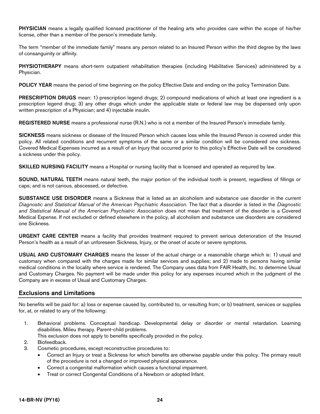PHYSICIAN means a legally qualified licensed practitioner of the healing arts who provides care within the scope of his/her license, other than a member of the person's immediate family.

The term "member of the immediate family" means any person related to an Insured Person within the third degree by the laws of consanguinity or affinity.

PHYSIOTHERAPY means short-term outpatient rehabilitation therapies (including Habilitative Services) administered by a Physician.

POLICY YEAR means the period of time beginning on the policy Effective Date and ending on the policy Termination Date.

PRESCRIPTION DRUGS mean: 1) prescription legend drugs; 2) compound medications of which at least one ingredient is a prescription legend drug; 3) any other drugs which under the applicable state or federal law may be dispensed only upon written prescription of a Physician; and 4) injectable insulin.

REGISTERED NURSE means a professional nurse (R.N.) who is not a member of the Insured Person's immediate family.

SICKNESS means sickness or disease of the Insured Person which causes loss while the Insured Person is covered under this policy. All related conditions and recurrent symptoms of the same or a similar condition will be considered one sickness. Covered Medical Expenses incurred as a result of an Injury that occurred prior to this policy's Effective Date will be considered a sickness under this policy.

SKILLED NURSING FACILITY means a Hospital or nursing facility that is licensed and operated as required by law.

SOUND, NATURAL TEETH means natural teeth, the major portion of the individual tooth is present, regardless of fillings or caps; and is not carious, abscessed, or defective.

SUBSTANCE USE DISORDER means a Sickness that is listed as an alcoholism and substance use disorder in the current *Diagnostic and Statistical Manual of the American Psychiatric Association*. The fact that a disorder is listed in the *Diagnostic and Statistical Manual of the American Psychiatric Association* does not mean that treatment of the disorder is a Covered Medical Expense. If not excluded or defined elsewhere in the policy, all alcoholism and substance use disorders are considered one Sickness.

URGENT CARE CENTER means a facility that provides treatment required to prevent serious deterioration of the Insured Person's health as a result of an unforeseen Sickness, Injury, or the onset of acute or severe symptoms.

USUAL AND CUSTOMARY CHARGES means the lesser of the actual charge or a reasonable charge which is: 1) usual and customary when compared with the charges made for similar services and supplies; and 2) made to persons having similar medical conditions in the locality where service is rendered. The Company uses data from FAIR Health, Inc. to determine Usual and Customary Charges. No payment will be made under this policy for any expenses incurred which in the judgment of the Company are in excess of Usual and Customary Charges.

# <span id="page-25-0"></span>Exclusions and Limitations

No benefits will be paid for: a) loss or expense caused by, contributed to, or resulting from; or b) treatment, services or supplies for, at, or related to any of the following:

- 1. Behavioral problems. Conceptual handicap. Developmental delay or disorder or mental retardation. Learning disabilities. Milieu therapy. Parent-child problems.
- This exclusion does not apply to benefits specifically provided in the policy.
- 2. Biofeedback.
- 3. Cosmetic procedures, except reconstructive procedures to:
	- Correct an Injury or treat a Sickness for which benefits are otherwise payable under this policy. The primary result of the procedure is not a changed or improved physical appearance.
	- Correct a congenital malformation which causes a functional impairment.
	- Treat or correct Congenital Conditions of a Newborn or adopted Infant.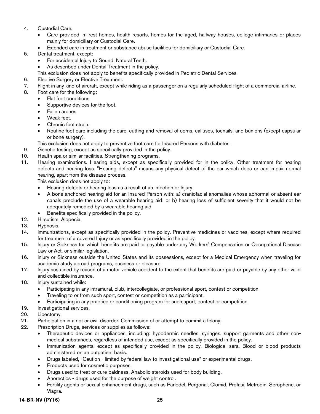# 4. Custodial Care.

- Care provided in: rest homes, health resorts, homes for the aged, halfway houses, college infirmaries or places mainly for domiciliary or Custodial Care.
- Extended care in treatment or substance abuse facilities for domiciliary or Custodial Care.
- 5. Dental treatment, except:
	- For accidental Injury to Sound, Natural Teeth.
	- As described under Dental Treatment in the policy.
	- This exclusion does not apply to benefits specifically provided in Pediatric Dental Services.
- 6. Elective Surgery or Elective Treatment.
- 7. Flight in any kind of aircraft, except while riding as a passenger on a regularly scheduled flight of a commercial airline.
- 8. Foot care for the following:
	- Flat foot conditions.
	- Supportive devices for the foot.
	- Fallen arches.
	- Weak feet.
	- Chronic foot strain.
	- Routine foot care including the care, cutting and removal of corns, calluses, toenails, and bunions (except capsular or bone surgery).

This exclusion does not apply to preventive foot care for Insured Persons with diabetes.

- 9. Genetic testing, except as specifically provided in the policy.
- 10. Health spa or similar facilities. Strengthening programs.
- 11. Hearing examinations. Hearing aids, except as specifically provided for in the policy. Other treatment for hearing defects and hearing loss. "Hearing defects" means any physical defect of the ear which does or can impair normal hearing, apart from the disease process.

This exclusion does not apply to:

- Hearing defects or hearing loss as a result of an infection or Injury.
- A bone anchored hearing aid for an Insured Person with: a) craniofacial anomalies whose abnormal or absent ear canals preclude the use of a wearable hearing aid; or b) hearing loss of sufficient severity that it would not be adequately remedied by a wearable hearing aid.
- Benefits specifically provided in the policy.
- 12. Hirsutism. Alopecia.
- 13. Hypnosis.
- 14. Immunizations, except as specifically provided in the policy. Preventive medicines or vaccines, except where required for treatment of a covered Injury or as specifically provided in the policy.
- 15. Injury or Sickness for which benefits are paid or payable under any Workers' Compensation or Occupational Disease Law or Act, or similar legislation.
- 16. Injury or Sickness outside the United States and its possessions, except for a Medical Emergency when traveling for academic study abroad programs, business or pleasure.
- 17. Injury sustained by reason of a motor vehicle accident to the extent that benefits are paid or payable by any other valid and collectible insurance.
- 18. Injury sustained while:
	- Participating in any intramural, club, intercollegiate, or professional sport, contest or competition.
	- Traveling to or from such sport, contest or competition as a participant.
	- Participating in any practice or conditioning program for such sport, contest or competition.
- 19. Investigational services.
- 20. Lipectomy.
- 21. Participation in a riot or civil disorder. Commission of or attempt to commit a felony.
- 22. Prescription Drugs, services or supplies as follows:
	- Therapeutic devices or appliances, including: hypodermic needles, syringes, support garments and other nonmedical substances, regardless of intended use, except as specifically provided in the policy.
	- Immunization agents, except as specifically provided in the policy. Biological sera. Blood or blood products administered on an outpatient basis.
	- Drugs labeled, "Caution limited by federal law to investigational use" or experimental drugs.
	- Products used for cosmetic purposes.
	- Drugs used to treat or cure baldness. Anabolic steroids used for body building.
	- Anorectics drugs used for the purpose of weight control.
	- Fertility agents or sexual enhancement drugs, such as Parlodel, Pergonal, Clomid, Profasi, Metrodin, Serophene, or Viagra.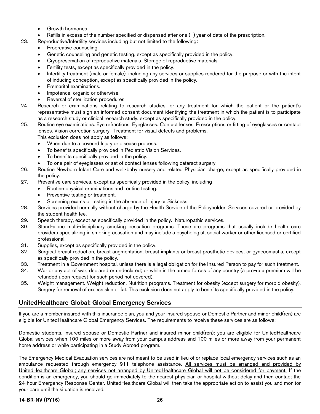- Growth hormones.
- Refills in excess of the number specified or dispensed after one (1) year of date of the prescription.
- 23. Reproductive/Infertility services including but not limited to the following:
	- Procreative counseling.
	- Genetic counseling and genetic testing, except as specifically provided in the policy.
	- Cryopreservation of reproductive materials. Storage of reproductive materials.
	- Fertility tests, except as specifically provided in the policy.
	- Infertility treatment (male or female), including any services or supplies rendered for the purpose or with the intent of inducing conception, except as specifically provided in the policy.
	- Premarital examinations.
	- Impotence, organic or otherwise.
	- Reversal of sterilization procedures.
- 24. Research or examinations relating to research studies, or any treatment for which the patient or the patient's representative must sign an informed consent document identifying the treatment in which the patient is to participate as a research study or clinical research study, except as specifically provided in the policy.
- 25. Routine eye examinations. Eye refractions. Eyeglasses. Contact lenses. Prescriptions or fitting of eyeglasses or contact lenses. Vision correction surgery. Treatment for visual defects and problems. This exclusion does not apply as follows:
	- When due to a covered Injury or disease process.
	- To benefits specifically provided in Pediatric Vision Services.
	- To benefits specifically provided in the policy.
	- To one pair of eyeglasses or set of contact lenses following cataract surgery.
- 26. Routine Newborn Infant Care and well-baby nursery and related Physician charge, except as specifically provided in the policy.
- 27. Preventive care services, except as specifically provided in the policy, including:
	- Routine physical examinations and routine testing.
	- Preventive testing or treatment.
	- Screening exams or testing in the absence of Injury or Sickness.
- 28. Services provided normally without charge by the Health Service of the Policyholder. Services covered or provided by the student health fee.
- 29. Speech therapy, except as specifically provided in the policy. Naturopathic services.
- 30. Stand-alone multi-disciplinary smoking cessation programs. These are programs that usually include health care providers specializing in smoking cessation and may include a psychologist, social worker or other licensed or certified professional.
- 31. Supplies, except as specifically provided in the policy.
- 32. Surgical breast reduction, breast augmentation, breast implants or breast prosthetic devices, or gynecomastia, except as specifically provided in the policy.
- 33. Treatment in a Government hospital, unless there is a legal obligation for the Insured Person to pay for such treatment.
- 34. War or any act of war, declared or undeclared; or while in the armed forces of any country (a pro-rata premium will be refunded upon request for such period not covered).
- 35. Weight management. Weight reduction. Nutrition programs. Treatment for obesity (except surgery for morbid obesity). Surgery for removal of excess skin or fat. This exclusion does not apply to benefits specifically provided in the policy.

# <span id="page-27-0"></span>UnitedHealthcare Global: Global Emergency Services

If you are a member insured with this insurance plan, you and your insured spouse or Domestic Partner and minor child(ren) are eligible for UnitedHealthcare Global Emergency Services. The requirements to receive these services are as follows:

Domestic students, insured spouse or Domestic Partner and insured minor child(ren): you are eligible for UnitedHealthcare Global services when 100 miles or more away from your campus address and 100 miles or more away from your permanent home address or while participating in a Study Abroad program.

The Emergency Medical Evacuation services are not meant to be used in lieu of or replace local emergency services such as an ambulance requested through emergency 911 telephone assistance. All services must be arranged and provided by UnitedHealthcare Global; any services not arranged by UnitedHealthcare Global will not be considered for payment. If the condition is an emergency, you should go immediately to the nearest physician or hospital without delay and then contact the 24-hour Emergency Response Center. UnitedHealthcare Global will then take the appropriate action to assist you and monitor your care until the situation is resolved.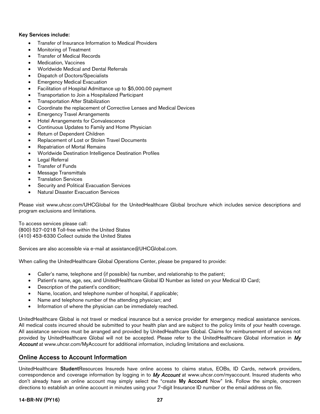#### Key Services include:

- Transfer of Insurance Information to Medical Providers
- Monitoring of Treatment
- Transfer of Medical Records
- Medication, Vaccines
- Worldwide Medical and Dental Referrals
- Dispatch of Doctors/Specialists
- Emergency Medical Evacuation
- Facilitation of Hospital Admittance up to \$5,000.00 payment
- Transportation to Join a Hospitalized Participant
- Transportation After Stabilization
- Coordinate the replacement of Corrective Lenses and Medical Devices
- Emergency Travel Arrangements
- Hotel Arrangements for Convalescence
- Continuous Updates to Family and Home Physician
- Return of Dependent Children
- Replacement of Lost or Stolen Travel Documents
- Repatriation of Mortal Remains
- Worldwide Destination Intelligence Destination Profiles
- Legal Referral
- Transfer of Funds
- Message Transmittals
- Translation Services
- Security and Political Evacuation Services
- Natural Disaster Evacuation Services

Please visit www.uhcsr.com/UHCGlobal for the UnitedHealthcare Global brochure which includes service descriptions and program exclusions and limitations.

To access services please call: (800) 527-0218 Toll-free within the United States (410) 453-6330 Collect outside the United States

Services are also accessible via e-mail at assistance@UHCGlobal.com.

When calling the UnitedHealthcare Global Operations Center, please be prepared to provide:

- Caller's name, telephone and (if possible) fax number, and relationship to the patient;
- Patient's name, age, sex, and UnitedHealthcare Global ID Number as listed on your Medical ID Card;
- Description of the patient's condition;
- Name, location, and telephone number of hospital, if applicable;
- Name and telephone number of the attending physician; and
- Information of where the physician can be immediately reached.

UnitedHealthcare Global is not travel or medical insurance but a service provider for emergency medical assistance services. All medical costs incurred should be submitted to your health plan and are subject to the policy limits of your health coverage. All assistance services must be arranged and provided by UnitedHealthcare Global. Claims for reimbursement of services not provided by UnitedHealthcare Global will not be accepted. Please refer to the UnitedHealthcare Global information in *My Account* at www.uhcsr.com/MyAccount for additional information, including limitations and exclusions.

# <span id="page-28-0"></span>Online Access to Account Information

UnitedHealthcare StudentResources Insureds have online access to claims status, EOBs, ID Cards, network providers, correspondence and coverage information by logging in to *My Account* at www.uhcsr.com/myaccount. Insured students who don't already have an online account may simply select the "create My Account Now" link. Follow the simple, onscreen directions to establish an online account in minutes using your 7-digit Insurance ID number or the email address on file.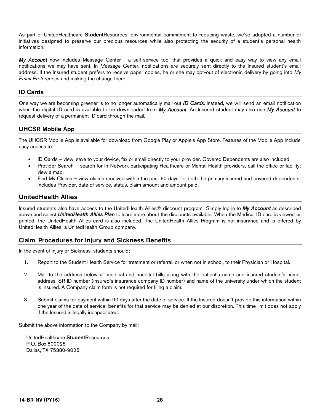As part of UnitedHealthcare StudentResources' environmental commitment to reducing waste, we've adopted a number of initiatives designed to preserve our precious resources while also protecting the security of a student's personal health information.

*My Account* now includes Message Center - a self-service tool that provides a quick and easy way to view any email notifications we may have sent. In *Message* Center, notifications are securely sent directly to the Insured student's email address. If the Insured student prefers to receive paper copies, he or she may opt-out of electronic delivery by going into *My Email Preferences* and making the change there.

# <span id="page-29-0"></span>ID Cards

One way we are becoming greener is to no longer automatically mail out *ID Cards*. Instead, we will send an email notification when the digital ID card is available to be downloaded from *My Account*. An Insured student may also use *My Account* to request delivery of a permanent ID card through the mail.

# <span id="page-29-1"></span>UHCSR Mobile App

The UHCSR Mobile App is available for download from Google Play or Apple's App Store. Features of the Mobile App include easy access to:

- ID Cards view, save to your device, fax or email directly to your provider. Covered Dependents are also included.
- Provider Search search for In-Network participating Healthcare or Mental Health providers, call the office or facility; view a map.
- Find My Claims view claims received within the past 60 days for both the primary insured and covered dependents; includes Provider, date of service, status, claim amount and amount paid.

# <span id="page-29-2"></span>UnitedHealth Allies

Insured students also have access to the UnitedHealth Allies® discount program. Simply log in to *My Account* as described above and select *UnitedHealth Allies Plan* to learn more about the discounts available. When the Medical ID card is viewed or printed, the UnitedHealth Allies card is also included. The UnitedHealth Allies Program is not insurance and is offered by UnitedHealth Allies, a UnitedHealth Group company.

# <span id="page-29-3"></span>Claim Procedures for Injury and Sickness Benefits

In the event of Injury or Sickness, students should:

- 1. Report to the Student Health Service for treatment or referral, or when not in school, to their Physician or Hospital.
- 2. Mail to the address below all medical and hospital bills along with the patient's name and insured student's name, address, SR ID number (insured's insurance company ID number) and name of the university under which the student is insured. A Company claim form is not required for filing a claim.
- 3. Submit claims for payment within 90 days after the date of service. If the Insured doesn't provide this information within one year of the date of service, benefits for that service may be denied at our discretion. This time limit does not apply if the Insured is legally incapacitated.

Submit the above information to the Company by mail:

UnitedHealthcare StudentResources P.O. Box 809025 Dallas, TX 75380-9025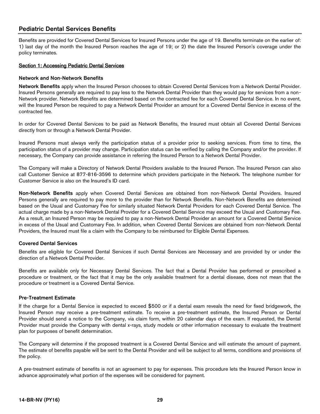# <span id="page-30-0"></span>Pediatric Dental Services Benefits

Benefits are provided for Covered Dental Services for Insured Persons under the age of 19. Benefits terminate on the earlier of: 1) last day of the month the Insured Person reaches the age of 19; or 2) the date the Insured Person's coverage under the policy terminates.

#### Section 1: Accessing Pediatric Dental Services

#### Network and Non-Network Benefits

Network Benefits apply when the Insured Person chooses to obtain Covered Dental Services from a Network Dental Provider. Insured Persons generally are required to pay less to the Network Dental Provider than they would pay for services from a non-Network provider. Network Benefits are determined based on the contracted fee for each Covered Dental Service. In no event, will the Insured Person be required to pay a Network Dental Provider an amount for a Covered Dental Service in excess of the contracted fee.

In order for Covered Dental Services to be paid as Network Benefits, the Insured must obtain all Covered Dental Services directly from or through a Network Dental Provider.

Insured Persons must always verify the participation status of a provider prior to seeking services. From time to time, the participation status of a provider may change. Participation status can be verified by calling the Company and/or the provider. If necessary, the Company can provide assistance in referring the Insured Person to a Network Dental Provider.

The Company will make a Directory of Network Dental Providers available to the Insured Person. The Insured Person can also call Customer Service at 877-816-3596 to determine which providers participate in the Network. The telephone number for Customer Service is also on the Insured's ID card.

Non-Network Benefits apply when Covered Dental Services are obtained from non-Network Dental Providers. Insured Persons generally are required to pay more to the provider than for Network Benefits. Non-Network Benefits are determined based on the Usual and Customary Fee for similarly situated Network Dental Providers for each Covered Dental Service. The actual charge made by a non-Network Dental Provider for a Covered Dental Service may exceed the Usual and Customary Fee. As a result, an Insured Person may be required to pay a non-Network Dental Provider an amount for a Covered Dental Service in excess of the Usual and Customary Fee. In addition, when Covered Dental Services are obtained from non-Network Dental Providers, the Insured must file a claim with the Company to be reimbursed for Eligible Dental Expenses.

#### Covered Dental Services

Benefits are eligible for Covered Dental Services if such Dental Services are Necessary and are provided by or under the direction of a Network Dental Provider.

Benefits are available only for Necessary Dental Services. The fact that a Dental Provider has performed or prescribed a procedure or treatment, or the fact that it may be the only available treatment for a dental disease, does not mean that the procedure or treatment is a Covered Dental Service.

#### Pre-Treatment Estimate

If the charge for a Dental Service is expected to exceed \$500 or if a dental exam reveals the need for fixed bridgework, the Insured Person may receive a pre-treatment estimate. To receive a pre-treatment estimate, the Insured Person or Dental Provider should send a notice to the Company, via claim form, within 20 calendar days of the exam. If requested, the Dental Provider must provide the Company with dental x-rays, study models or other information necessary to evaluate the treatment plan for purposes of benefit determination.

The Company will determine if the proposed treatment is a Covered Dental Service and will estimate the amount of payment. The estimate of benefits payable will be sent to the Dental Provider and will be subject to all terms, conditions and provisions of the policy.

A pre-treatment estimate of benefits is not an agreement to pay for expenses. This procedure lets the Insured Person know in advance approximately what portion of the expenses will be considered for payment.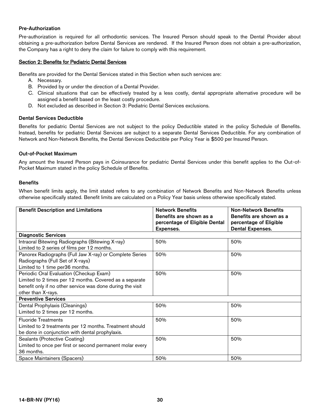#### Pre-Authorization

Pre-authorization is required for all orthodontic services. The Insured Person should speak to the Dental Provider about obtaining a pre-authorization before Dental Services are rendered. If the Insured Person does not obtain a pre-authorization, the Company has a right to deny the claim for failure to comply with this requirement.

#### Section 2: Benefits for Pediatric Dental Services

Benefits are provided for the Dental Services stated in this Section when such services are:

- A. Necessary.
- B. Provided by or under the direction of a Dental Provider.
- C. Clinical situations that can be effectively treated by a less costly, dental appropriate alternative procedure will be assigned a benefit based on the least costly procedure.
- D. Not excluded as described in Section 3: Pediatric Dental Services exclusions.

#### Dental Services Deductible

Benefits for pediatric Dental Services are not subject to the policy Deductible stated in the policy Schedule of Benefits. Instead, benefits for pediatric Dental Services are subject to a separate Dental Services Deductible. For any combination of Network and Non-Network Benefits, the Dental Services Deductible per Policy Year is \$500 per Insured Person.

#### Out-of-Pocket Maximum

Any amount the Insured Person pays in Coinsurance for pediatric Dental Services under this benefit applies to the Out-of-Pocket Maximum stated in the policy Schedule of Benefits.

#### **Benefits**

When benefit limits apply, the limit stated refers to any combination of Network Benefits and Non-Network Benefits unless otherwise specifically stated. Benefit limits are calculated on a Policy Year basis unless otherwise specifically stated.

| <b>Benefit Description and Limitations</b>                 | <b>Network Benefits</b><br>Benefits are shown as a<br>percentage of Eligible Dental<br>Expenses. | <b>Non-Network Benefits</b><br>Benefits are shown as a<br>percentage of Eligible<br><b>Dental Expenses.</b> |
|------------------------------------------------------------|--------------------------------------------------------------------------------------------------|-------------------------------------------------------------------------------------------------------------|
| <b>Diagnostic Services</b>                                 |                                                                                                  |                                                                                                             |
| Intraoral Bitewing Radiographs (Bitewing X-ray)            | 50%                                                                                              | 50%                                                                                                         |
| Limited to 2 series of films per 12 months.                |                                                                                                  |                                                                                                             |
| Panorex Radiographs (Full Jaw X-ray) or Complete Series    | 50%                                                                                              | 50%                                                                                                         |
| Radiographs (Full Set of X-rays)                           |                                                                                                  |                                                                                                             |
| Limited to 1 time per36 months.                            |                                                                                                  |                                                                                                             |
| Periodic Oral Evaluation (Checkup Exam)                    | 50%                                                                                              | 50%                                                                                                         |
| Limited to 2 times per 12 months. Covered as a separate    |                                                                                                  |                                                                                                             |
| benefit only if no other service was done during the visit |                                                                                                  |                                                                                                             |
| other than X-rays.                                         |                                                                                                  |                                                                                                             |
| <b>Preventive Services</b>                                 |                                                                                                  |                                                                                                             |
| Dental Prophylaxis (Cleanings)                             | 50%                                                                                              | 50%                                                                                                         |
| Limited to 2 times per 12 months.                          |                                                                                                  |                                                                                                             |
| <b>Fluoride Treatments</b>                                 | 50%                                                                                              | 50%                                                                                                         |
| Limited to 2 treatments per 12 months. Treatment should    |                                                                                                  |                                                                                                             |
| be done in conjunction with dental prophylaxis.            |                                                                                                  |                                                                                                             |
| Sealants (Protective Coating)                              | 50%                                                                                              | 50%                                                                                                         |
| Limited to once per first or second permanent molar every  |                                                                                                  |                                                                                                             |
| 36 months.                                                 |                                                                                                  |                                                                                                             |
| Space Maintainers (Spacers)                                | 50%                                                                                              | 50%                                                                                                         |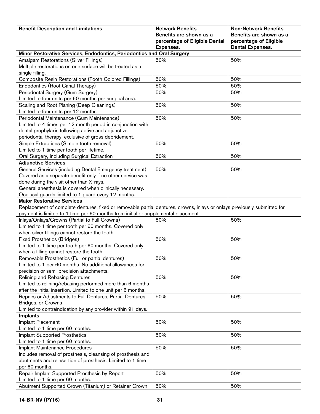| <b>Benefit Description and Limitations</b>                                                                                   | <b>Network Benefits</b>                                  | <b>Non-Network Benefits</b>                       |
|------------------------------------------------------------------------------------------------------------------------------|----------------------------------------------------------|---------------------------------------------------|
|                                                                                                                              | Benefits are shown as a<br>percentage of Eligible Dental | Benefits are shown as a<br>percentage of Eligible |
|                                                                                                                              | Expenses.                                                | <b>Dental Expenses.</b>                           |
| Minor Restorative Services, Endodontics, Periodontics and Oral Surgery                                                       |                                                          |                                                   |
| Amalgam Restorations (Silver Fillings)                                                                                       | 50%                                                      | 50%                                               |
| Multiple restorations on one surface will be treated as a                                                                    |                                                          |                                                   |
| single filling.                                                                                                              |                                                          |                                                   |
| Composite Resin Restorations (Tooth Colored Fillings)                                                                        | 50%                                                      | 50%                                               |
| Endodontics (Root Canal Therapy)                                                                                             | 50%                                                      | 50%                                               |
| Periodontal Surgery (Gum Surgery)                                                                                            | 50%                                                      | 50%                                               |
| Limited to four units per 60 months per surgical area.                                                                       |                                                          |                                                   |
| Scaling and Root Planing (Deep Cleanings)                                                                                    | 50%                                                      | 50%                                               |
| Limited to four units per 12 months.                                                                                         |                                                          |                                                   |
| Periodontal Maintenance (Gum Maintenance)                                                                                    | 50%                                                      | 50%                                               |
| Limited to 4 times per 12 month period in conjunction with                                                                   |                                                          |                                                   |
| dental prophylaxis following active and adjunctive                                                                           |                                                          |                                                   |
| periodontal therapy, exclusive of gross debridement.                                                                         |                                                          |                                                   |
| Simple Extractions (Simple tooth removal)                                                                                    | 50%                                                      | 50%                                               |
| Limited to 1 time per tooth per lifetime.                                                                                    |                                                          |                                                   |
| Oral Surgery, including Surgical Extraction                                                                                  | 50%                                                      | 50%                                               |
| <b>Adjunctive Services</b>                                                                                                   |                                                          |                                                   |
| General Services (including Dental Emergency treatment)                                                                      | 50%                                                      | 50%                                               |
| Covered as a separate benefit only if no other service was                                                                   |                                                          |                                                   |
| done during the visit other than X-rays.                                                                                     |                                                          |                                                   |
| General anesthesia is covered when clinically necessary.                                                                     |                                                          |                                                   |
| Occlusal guards limited to 1 guard every 12 months.                                                                          |                                                          |                                                   |
| <b>Major Restorative Services</b>                                                                                            |                                                          |                                                   |
| Replacement of complete dentures, fixed or removable partial dentures, crowns, inlays or onlays previously submitted for     |                                                          |                                                   |
| payment is limited to 1 time per 60 months from initial or supplemental placement.                                           |                                                          |                                                   |
| Inlays/Onlays/Crowns (Partial to Full Crowns)                                                                                | 50%                                                      | 50%                                               |
| Limited to 1 time per tooth per 60 months. Covered only                                                                      |                                                          |                                                   |
| when silver fillings cannot restore the tooth.                                                                               |                                                          |                                                   |
| <b>Fixed Prosthetics (Bridges)</b>                                                                                           | 50%                                                      | 50%                                               |
| Limited to 1 time per tooth per 60 months. Covered only                                                                      |                                                          |                                                   |
| when a filling cannot restore the tooth.                                                                                     |                                                          |                                                   |
| Removable Prosthetics (Full or partial dentures)                                                                             | 50%                                                      | 50%                                               |
| Limited to 1 per 60 months. No additional allowances for                                                                     |                                                          |                                                   |
| precision or semi-precision attachments.                                                                                     |                                                          |                                                   |
| Relining and Rebasing Dentures                                                                                               | 50%                                                      | 50%                                               |
| Limited to relining/rebasing performed more than 6 months                                                                    |                                                          |                                                   |
| after the initial insertion. Limited to one unit per 6 months.<br>Repairs or Adjustments to Full Dentures, Partial Dentures, | 50%                                                      | 50%                                               |
| Bridges, or Crowns                                                                                                           |                                                          |                                                   |
| Limited to contraindication by any provider within 91 days.                                                                  |                                                          |                                                   |
| Implants                                                                                                                     |                                                          |                                                   |
| Implant Placement                                                                                                            | 50%                                                      | 50%                                               |
| Limited to 1 time per 60 months.                                                                                             |                                                          |                                                   |
| <b>Implant Supported Prosthetics</b>                                                                                         | 50%                                                      | 50%                                               |
| Limited to 1 time per 60 months.                                                                                             |                                                          |                                                   |
| Implant Maintenance Procedures                                                                                               | 50%                                                      | 50%                                               |
| Includes removal of prosthesis, cleansing of prosthesis and                                                                  |                                                          |                                                   |
| abutments and reinsertion of prosthesis. Limited to 1 time                                                                   |                                                          |                                                   |
| per 60 months.                                                                                                               |                                                          |                                                   |
| Repair Implant Supported Prosthesis by Report                                                                                | 50%                                                      | 50%                                               |
| Limited to 1 time per 60 months.                                                                                             |                                                          |                                                   |
| Abutment Supported Crown (Titanium) or Retainer Crown                                                                        | 50%                                                      | 50%                                               |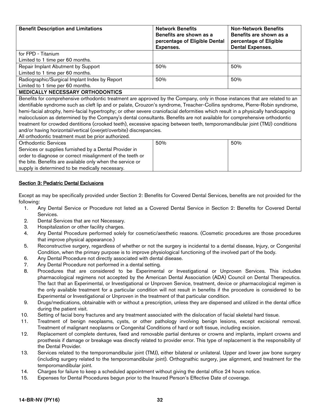| <b>Benefit Description and Limitations</b>                                                                                       | <b>Network Benefits</b><br>Benefits are shown as a<br>percentage of Eligible Dental<br>Expenses. | <b>Non-Network Benefits</b><br>Benefits are shown as a<br>percentage of Eligible<br><b>Dental Expenses.</b> |
|----------------------------------------------------------------------------------------------------------------------------------|--------------------------------------------------------------------------------------------------|-------------------------------------------------------------------------------------------------------------|
| for FPD - Titanium                                                                                                               |                                                                                                  |                                                                                                             |
| Limited to 1 time per 60 months.                                                                                                 |                                                                                                  |                                                                                                             |
| Repair Implant Abutment by Support                                                                                               | 50%                                                                                              | 50%                                                                                                         |
| Limited to 1 time per 60 months.                                                                                                 |                                                                                                  |                                                                                                             |
| Radiographic/Surgical Implant Index by Report                                                                                    | 50%                                                                                              | 50%                                                                                                         |
| Limited to 1 time per 60 months.                                                                                                 |                                                                                                  |                                                                                                             |
| <b>MEDICALLY NECESSARY ORTHODONTICS</b>                                                                                          |                                                                                                  |                                                                                                             |
| Benefits for comprehensive orthodontic treatment are approved by the Company, only in those instances that are related to an     |                                                                                                  |                                                                                                             |
| identifiable syndrome such as cleft lip and or palate, Crouzon's syndrome, Treacher-Collins syndrome, Pierre-Robin syndrome,     |                                                                                                  |                                                                                                             |
| hemi-facial atrophy, hemi-facial hypertrophy; or other severe craniofacial deformities which result in a physically handicapping |                                                                                                  |                                                                                                             |
| melooglygian as determined by the Company's deptal consultante. Penefits are not evoluble for comprehensive exthedential         |                                                                                                  |                                                                                                             |

malocclusion as determined by the Company's dental consultants. Benefits are not available for comprehensive orthodontic treatment for crowded dentitions (crooked teeth), excessive spacing between teeth, temporomandibular joint (TMJ) conditions and/or having horizontal/vertical (overjet/overbite) discrepancies.

| All orthodontic treatment must be prior authorized.       |     |     |
|-----------------------------------------------------------|-----|-----|
| <b>Orthodontic Services</b>                               | 50% | 50% |
| Services or supplies furnished by a Dental Provider in    |     |     |
| order to diagnose or correct misalignment of the teeth or |     |     |
| the bite. Benefits are available only when the service or |     |     |
| supply is determined to be medically necessary.           |     |     |

# **Section 3: Pediatric Dental Exclusions**

Except as may be specifically provided under Section 2: Benefits for Covered Dental Services, benefits are not provided for the following:

- 1. Any Dental Service or Procedure not listed as a Covered Dental Service in Section 2: Benefits for Covered Dental Services.
- 2. Dental Services that are not Necessary.
- 3. Hospitalization or other facility charges.
- 4. Any Dental Procedure performed solely for cosmetic/aesthetic reasons. (Cosmetic procedures are those procedures that improve physical appearance.)
- 5. Reconstructive surgery, regardless of whether or not the surgery is incidental to a dental disease, Injury, or Congenital Condition, when the primary purpose is to improve physiological functioning of the involved part of the body.
- 6. Any Dental Procedure not directly associated with dental disease.
- 7. Any Dental Procedure not performed in a dental setting.
- 8. Procedures that are considered to be Experimental or Investigational or Unproven Services. This includes pharmacological regimens not accepted by the American Dental Association (ADA) Council on Dental Therapeutics. The fact that an Experimental, or Investigational or Unproven Service, treatment, device or pharmacological regimen is the only available treatment for a particular condition will not result in benefits if the procedure is considered to be Experimental or Investigational or Unproven in the treatment of that particular condition.
- 9. Drugs/medications, obtainable with or without a prescription, unless they are dispensed and utilized in the dental office during the patient visit.
- 10. Setting of facial bony fractures and any treatment associated with the dislocation of facial skeletal hard tissue.
- 11. Treatment of benign neoplasms, cysts, or other pathology involving benign lesions, except excisional removal. Treatment of malignant neoplasms or Congenital Conditions of hard or soft tissue, including excision.
- 12. Replacement of complete dentures, fixed and removable partial dentures or crowns and implants, implant crowns and prosthesis if damage or breakage was directly related to provider error. This type of replacement is the responsibility of the Dental Provider.
- 13. Services related to the temporomandibular joint (TMJ), either bilateral or unilateral. Upper and lower jaw bone surgery (including surgery related to the temporomandibular joint). Orthognathic surgery, jaw alignment, and treatment for the temporomandibular joint.
- 14. Charges for failure to keep a scheduled appointment without giving the dental office 24 hours notice.
- 15. Expenses for Dental Procedures begun prior to the Insured Person's Effective Date of coverage.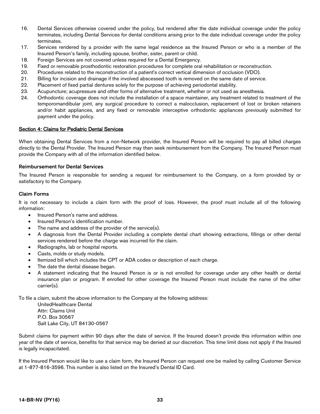- 16. Dental Services otherwise covered under the policy, but rendered after the date individual coverage under the policy terminates, including Dental Services for dental conditions arising prior to the date individual coverage under the policy terminates.
- 17. Services rendered by a provider with the same legal residence as the Insured Person or who is a member of the Insured Person's family, including spouse, brother, sister, parent or child.
- 18. Foreign Services are not covered unless required for a Dental Emergency.
- 19. Fixed or removable prosthodontic restoration procedures for complete oral rehabilitation or reconstruction.
- 20. Procedures related to the reconstruction of a patient's correct vertical dimension of occlusion (VDO).
- 21. Billing for incision and drainage if the involved abscessed tooth is removed on the same date of service.
- 22. Placement of fixed partial dentures solely for the purpose of achieving periodontal stability.
- 23. Acupuncture; acupressure and other forms of alternative treatment, whether or not used as anesthesia.
- 24. Orthodontic coverage does not include the installation of a space maintainer, any treatment related to treatment of the temporomandibular joint, any surgical procedure to correct a malocclusion, replacement of lost or broken retainers and/or habit appliances, and any fixed or removable interceptive orthodontic appliances previously submitted for payment under the policy.

#### Section 4: Claims for Pediatric Dental Services

When obtaining Dental Services from a non-Network provider, the Insured Person will be required to pay all billed charges directly to the Dental Provider. The Insured Person may then seek reimbursement from the Company. The Insured Person must provide the Company with all of the information identified below.

#### Reimbursement for Dental Services

The Insured Person is responsible for sending a request for reimbursement to the Company, on a form provided by or satisfactory to the Company.

#### Claim Forms

It is not necessary to include a claim form with the proof of loss. However, the proof must include all of the following information:

- Insured Person's name and address.
- Insured Person's identification number.
- The name and address of the provider of the service(s).
- A diagnosis from the Dental Provider including a complete dental chart showing extractions, fillings or other dental services rendered before the charge was incurred for the claim.
- Radiographs, lab or hospital reports.
- Casts, molds or study models.
- Itemized bill which includes the CPT or ADA codes or description of each charge.
- The date the dental disease began.
- A statement indicating that the Insured Person is or is not enrolled for coverage under any other health or dental insurance plan or program. If enrolled for other coverage the Insured Person must include the name of the other carrier(s).

To file a claim, submit the above information to the Company at the following address:

UnitedHealthcare Dental Attn: Claims Unit P.O. Box 30567 Salt Lake City, UT 84130-0567

Submit claims for payment within 90 days after the date of service. If the Insured doesn't provide this information within one year of the date of service, benefits for that service may be denied at our discretion. This time limit does not apply if the Insured is legally incapacitated.

If the Insured Person would like to use a claim form, the Insured Person can request one be mailed by calling Customer Service at 1-877-816-3596. This number is also listed on the Insured's Dental ID Card.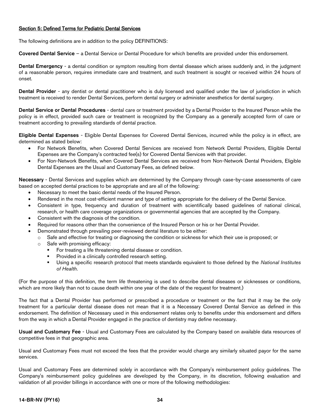# Section 5: Defined Terms for Pediatric Dental Services

The following definitions are in addition to the policy DEFINITIONS:

Covered Dental Service – a Dental Service or Dental Procedure for which benefits are provided under this endorsement.

Dental Emergency - a dental condition or symptom resulting from dental disease which arises suddenly and, in the judgment of a reasonable person, requires immediate care and treatment, and such treatment is sought or received within 24 hours of onset.

Dental Provider - any dentist or dental practitioner who is duly licensed and qualified under the law of jurisdiction in which treatment is received to render Dental Services, perform dental surgery or administer anesthetics for dental surgery.

Dental Service or Dental Procedures - dental care or treatment provided by a Dental Provider to the Insured Person while the policy is in effect, provided such care or treatment is recognized by the Company as a generally accepted form of care or treatment according to prevailing standards of dental practice.

Eligible Dental Expenses - Eligible Dental Expenses for Covered Dental Services, incurred while the policy is in effect, are determined as stated below:

- For Network Benefits, when Covered Dental Services are received from Network Dental Providers, Eligible Dental Expenses are the Company's contracted fee(s) for Covered Dental Services with that provider.
- For Non-Network Benefits, when Covered Dental Services are received from Non-Network Dental Providers, Eligible Dental Expenses are the Usual and Customary Fees, as defined below.

Necessary - Dental Services and supplies which are determined by the Company through case-by-case assessments of care based on accepted dental practices to be appropriate and are all of the following:

- Necessary to meet the basic dental needs of the Insured Person.
- Rendered in the most cost-efficient manner and type of setting appropriate for the delivery of the Dental Service.
- Consistent in type, frequency and duration of treatment with scientifically based guidelines of national clinical, research, or health care coverage organizations or governmental agencies that are accepted by the Company.
- Consistent with the diagnosis of the condition.
- Required for reasons other than the convenience of the Insured Person or his or her Dental Provider.
- Demonstrated through prevailing peer-reviewed dental literature to be either:
	- o Safe and effective for treating or diagnosing the condition or sickness for which their use is proposed; or
	- o Safe with promising efficacy:
		- For treating a life threatening dental disease or condition.
		- Provided in a clinically controlled research setting.
		- Using a specific research protocol that meets standards equivalent to those defined by the *National Institutes of Health*.

(For the purpose of this definition, the term life threatening is used to describe dental diseases or sicknesses or conditions, which are more likely than not to cause death within one year of the date of the request for treatment.)

The fact that a Dental Provider has performed or prescribed a procedure or treatment or the fact that it may be the only treatment for a particular dental disease does not mean that it is a Necessary Covered Dental Service as defined in this endorsement. The definition of Necessary used in this endorsement relates only to benefits under this endorsement and differs from the way in which a Dental Provider engaged in the practice of dentistry may define necessary.

Usual and Customary Fee - Usual and Customary Fees are calculated by the Company based on available data resources of competitive fees in that geographic area.

Usual and Customary Fees must not exceed the fees that the provider would charge any similarly situated payor for the same services.

Usual and Customary Fees are determined solely in accordance with the Company's reimbursement policy guidelines. The Company's reimbursement policy guidelines are developed by the Company, in its discretion, following evaluation and validation of all provider billings in accordance with one or more of the following methodologies: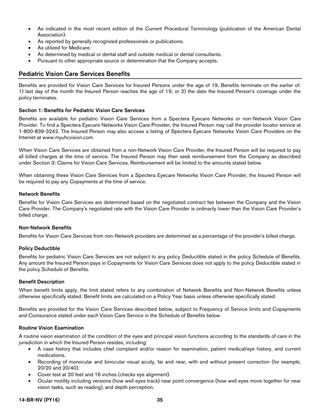- As indicated in the most recent edition of the Current Procedural Terminology (publication of the American Dental Association).
- As reported by generally recognized professionals or publications.
- As utilized for Medicare.
- As determined by medical or dental staff and outside medical or dental consultants.
- Pursuant to other appropriate source or determination that the Company accepts.

# <span id="page-36-0"></span>Pediatric Vision Care Services Benefits

Benefits are provided for Vision Care Services for Insured Persons under the age of 19. Benefits terminate on the earlier of: 1) last day of the month the Insured Person reaches the age of 19; or 2) the date the Insured Person's coverage under the policy terminates.

#### Section 1: Benefits for Pediatric Vision Care Services

Benefits are available for pediatric Vision Care Services from a Spectera Eyecare Networks or non-Network Vision Care Provider. To find a Spectera Eyecare Networks Vision Care Provider, the Insured Person may call the provider locator service at 1-800-839-3242. The Insured Person may also access a listing of Spectera Eyecare Networks Vision Care Providers on the Internet at www.myuhcvision.com.

When Vision Care Services are obtained from a non-Network Vision Care Provider, the Insured Person will be required to pay all billed charges at the time of service. The Insured Person may then seek reimbursement from the Company as described under Section 3: Claims for Vision Care Services. Reimbursement will be limited to the amounts stated below.

When obtaining these Vision Care Services from a Spectera Eyecare Networks Vision Care Provider, the Insured Person will be required to pay any Copayments at the time of service.

#### Network Benefits

Benefits for Vision Care Services are determined based on the negotiated contract fee between the Company and the Vision Care Provider. The Company's negotiated rate with the Vision Care Provider is ordinarily lower than the Vision Care Provider's billed charge.

#### Non-Network Benefits

Benefits for Vision Care Services from non-Network providers are determined as a percentage of the provider's billed charge.

#### Policy Deductible

Benefits for pediatric Vision Care Services are not subject to any policy Deductible stated in the policy Schedule of Benefits. Any amount the Insured Person pays in Copayments for Vision Care Services does not apply to the policy Deductible stated in the policy Schedule of Benefits.

#### Benefit Description

When benefit limits apply, the limit stated refers to any combination of Network Benefits and Non-Network Benefits unless otherwise specifically stated. Benefit limits are calculated on a Policy Year basis unless otherwise specifically stated.

Benefits are provided for the Vision Care Services described below, subject to Frequency of Service limits and Copayments and Coinsurance stated under each Vision Care Service in the Schedule of Benefits below.

#### Routine Vision Examination

A routine vision examination of the condition of the eyes and principal vision functions according to the standards of care in the jurisdiction in which the Insured Person resides, including:

- A case history that includes chief complaint and/or reason for examination, patient medical/eye history, and current medications.
- Recording of monocular and binocular visual acuity, far and near, with and without present correction (for example, 20/20 and 20/40).
- Cover test at 20 feet and 16 inches (checks eye alignment).
- Ocular motility including versions (how well eyes track) near point convergence (how well eyes move together for near vision tasks, such as reading), and depth perception.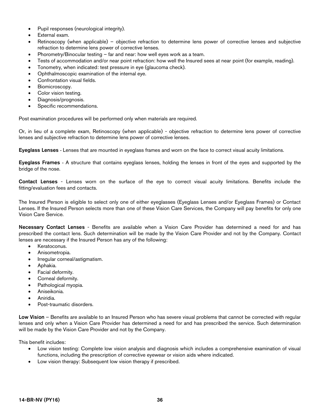- Pupil responses (neurological integrity).
- External exam.
- Retinoscopy (when applicable) objective refraction to determine lens power of corrective lenses and subjective refraction to determine lens power of corrective lenses.
- Phorometry/Binocular testing far and near: how well eyes work as a team.
- Tests of accommodation and/or near point refraction: how well the Insured sees at near point (for example, reading).
- Tonometry, when indicated: test pressure in eye (glaucoma check).
- Ophthalmoscopic examination of the internal eye.
- Confrontation visual fields.
- Biomicroscopy.
- Color vision testing.
- Diagnosis/prognosis.
- Specific recommendations.

Post examination procedures will be performed only when materials are required.

Or, in lieu of a complete exam, Retinoscopy (when applicable) - objective refraction to determine lens power of corrective lenses and subjective refraction to determine lens power of corrective lenses.

Eyeglass Lenses - Lenses that are mounted in eyeglass frames and worn on the face to correct visual acuity limitations.

Eyeglass Frames - A structure that contains eyeglass lenses, holding the lenses in front of the eyes and supported by the bridge of the nose.

Contact Lenses - Lenses worn on the surface of the eye to correct visual acuity limitations. Benefits include the fitting/evaluation fees and contacts.

The Insured Person is eligible to select only one of either eyeglasses (Eyeglass Lenses and/or Eyeglass Frames) or Contact Lenses. If the Insured Person selects more than one of these Vision Care Services, the Company will pay benefits for only one Vision Care Service.

Necessary Contact Lenses - Benefits are available when a Vision Care Provider has determined a need for and has prescribed the contact lens. Such determination will be made by the Vision Care Provider and not by the Company. Contact lenses are necessary if the Insured Person has any of the following:

- Keratoconus.
- Anisometropia.
- Irregular corneal/astigmatism.
- Aphakia.
- Facial deformity.
- Corneal deformity.
- Pathological myopia.
- Aniseikonia.
- Aniridia.
- Post-traumatic disorders.

Low Vision – Benefits are available to an Insured Person who has severe visual problems that cannot be corrected with regular lenses and only when a Vision Care Provider has determined a need for and has prescribed the service. Such determination will be made by the Vision Care Provider and not by the Company.

This benefit includes:

- Low vision testing: Complete low vision analysis and diagnosis which includes a comprehensive examination of visual functions, including the prescription of corrective eyewear or vision aids where indicated.
- Low vision therapy: Subsequent low vision therapy if prescribed.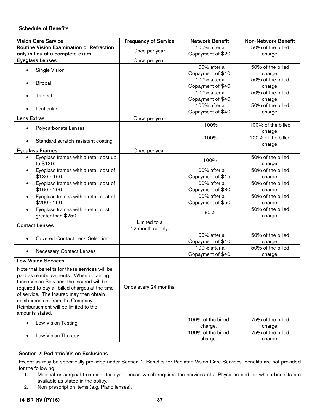# Schedule of Benefits

| <b>Vision Care Service</b>                         | <b>Frequency of Service</b> | <b>Network Benefit</b> | <b>Non-Network Benefit</b> |
|----------------------------------------------------|-----------------------------|------------------------|----------------------------|
| <b>Routine Vision Examination or Refraction</b>    |                             | 100% after a           | 50% of the billed          |
| only in lieu of a complete exam.                   | Once per year.              | Copayment of \$20.     | charge.                    |
| <b>Eyeglass Lenses</b>                             | Once per year.              |                        |                            |
| Single Vision<br>$\bullet$                         |                             | 100% after a           | 50% of the billed          |
|                                                    |                             | Copayment of \$40.     | charge.                    |
| <b>Bifocal</b><br>$\bullet$                        |                             | 100% after a           | 50% of the billed          |
|                                                    |                             | Copayment of \$40.     | charge.                    |
| Trifocal<br>$\bullet$                              |                             | 100% after a           | 50% of the billed          |
|                                                    |                             | Copayment of \$40.     | charge.                    |
| Lenticular<br>$\bullet$                            |                             | 100% after a           | 50% of the billed          |
|                                                    |                             | Copayment of \$40.     | charge.                    |
| <b>Lens Extras</b>                                 | Once per year.              |                        |                            |
|                                                    |                             | 100%                   | 100% of the billed         |
| Polycarbonate Lenses<br>$\bullet$                  |                             |                        | charge.                    |
|                                                    |                             | 100%                   | 100% of the billed         |
| Standard scratch-resistant coating<br>$\bullet$    |                             |                        | charge.                    |
| <b>Eyeglass Frames</b>                             | Once per year.              |                        |                            |
| Eyeglass frames with a retail cost up<br>$\bullet$ |                             | 100%                   | 50% of the billed          |
| to \$130.                                          |                             |                        | charge.                    |
| Eyeglass frames with a retail cost of<br>$\bullet$ |                             | 100% after a           | 50% of the billed          |
| $$130 - 160.$                                      |                             | Copayment of \$15.     | charge.                    |
| Eyeglass frames with a retail cost of<br>$\bullet$ |                             | 100% after a           | 50% of the billed          |
| $$160 - 200.$                                      |                             | Copayment of \$30.     | charge.                    |
| Eyeglass frames with a retail cost of<br>$\bullet$ |                             | 100% after a           | 50% of the billed          |
| $$200 - 250.$                                      |                             | Copayment of \$50.     | charge.                    |
| Eyeglass frames with a retail cost<br>$\bullet$    |                             |                        | 50% of the billed          |
| greater than \$250.                                |                             | 60%                    | charge.                    |
|                                                    | Limited to a                |                        |                            |
| <b>Contact Lenses</b>                              | 12 month supply.            |                        |                            |
|                                                    |                             | 100% after a           | 50% of the billed          |
| <b>Covered Contact Lens Selection</b><br>$\bullet$ |                             | Copayment of \$40.     | charge.                    |
|                                                    |                             | 100% after a           | 50% of the billed          |
| <b>Necessary Contact Lenses</b><br>$\bullet$       |                             | Copayment of \$40.     | charge.                    |
| <b>Low Vision Services</b>                         |                             |                        |                            |
| Note that benefits for these services will be      |                             |                        |                            |
| paid as reimbursements. When obtaining             |                             |                        |                            |
| these Vision Services, the Insured will be         |                             |                        |                            |
| required to pay all billed charges at the time     | Once every 24 months.       |                        |                            |
| of service. The Insured may then obtain            |                             |                        |                            |
| reimbursement from the Company.                    |                             |                        |                            |
| Reimbursement will be limited to the               |                             |                        |                            |
| amounts stated.                                    |                             |                        |                            |
| Low Vision Testing<br>$\bullet$                    |                             | 100% of the billed     | 75% of the billed          |
|                                                    |                             | charge.                | charge.                    |
|                                                    |                             | 100% of the billed     | 75% of the billed          |
| Low Vision Therapy                                 |                             | charge.                | charge.                    |

# Section 2: Pediatric Vision Exclusions

Except as may be specifically provided under Section 1: Benefits for Pediatric Vision Care Services, benefits are not provided for the following:

- 1. Medical or surgical treatment for eye disease which requires the services of a Physician and for which benefits are available as stated in the policy.
- 2. Non-prescription items (e.g. Plano lenses).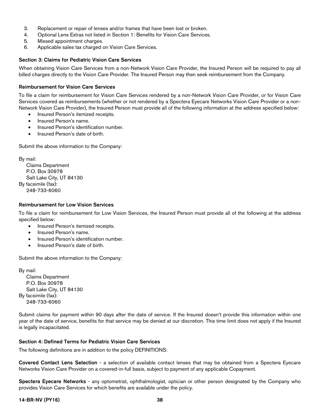- 3. Replacement or repair of lenses and/or frames that have been lost or broken.
- 4. Optional Lens Extras not listed in Section 1: Benefits for Vision Care Services.
- 5. Missed appointment charges.
- 6. Applicable sales tax charged on Vision Care Services.

#### Section 3: Claims for Pediatric Vision Care Services

When obtaining Vision Care Services from a non-Network Vision Care Provider, the Insured Person will be required to pay all billed charges directly to the Vision Care Provider. The Insured Person may then seek reimbursement from the Company.

#### Reimbursement for Vision Care Services

To file a claim for reimbursement for Vision Care Services rendered by a non-Network Vision Care Provider, or for Vision Care Services covered as reimbursements (whether or not rendered by a Spectera Eyecare Networks Vision Care Provider or a non-Network Vision Care Provider), the Insured Person must provide all of the following information at the address specified below:

- Insured Person's itemized receipts.
- Insured Person's name.
- Insured Person's identification number.
- Insured Person's date of birth.

Submit the above information to the Company:

By mail:

Claims Department P.O. Box 30978 Salt Lake City, UT 84130 By facsimile (fax): 248-733-6060

#### Reimbursement for Low Vision Services

To file a claim for reimbursement for Low Vision Services, the Insured Person must provide all of the following at the address specified below:

- Insured Person's itemized receipts.
- Insured Person's name.
- Insured Person's identification number.
- Insured Person's date of birth.

Submit the above information to the Company:

By mail: Claims Department P.O. Box 30978 Salt Lake City, UT 84130 By facsimile (fax): 248-733-6060

Submit claims for payment within 90 days after the date of service. If the Insured doesn't provide this information within one year of the date of service, benefits for that service may be denied at our discretion. This time limit does not apply if the Insured is legally incapacitated.

# Section 4: Defined Terms for Pediatric Vision Care Services

The following definitions are in addition to the policy DEFINITIONS:

Covered Contact Lens Selection - a selection of available contact lenses that may be obtained from a Spectera Eyecare Networks Vision Care Provider on a covered-in-full basis, subject to payment of any applicable Copayment.

Spectera Eyecare Networks - any optometrist, ophthalmologist, optician or other person designated by the Company who provides Vision Care Services for which benefits are available under the policy.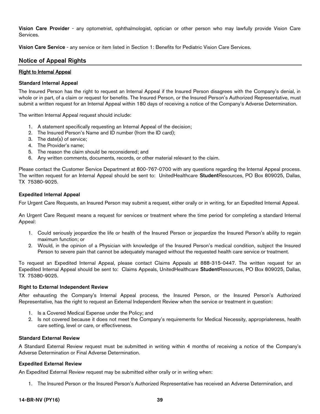Vision Care Provider - any optometrist, ophthalmologist, optician or other person who may lawfully provide Vision Care Services.

Vision Care Service - any service or item listed in Section 1: Benefits for Pediatric Vision Care Services.

# <span id="page-40-0"></span>Notice of Appeal Rights

#### Right to Internal Appeal

#### Standard Internal Appeal

The Insured Person has the right to request an Internal Appeal if the Insured Person disagrees with the Company's denial, in whole or in part, of a claim or request for benefits. The Insured Person, or the Insured Person's Authorized Representative, must submit a written request for an Internal Appeal within 180 days of receiving a notice of the Company's Adverse Determination.

The written Internal Appeal request should include:

- 1. A statement specifically requesting an Internal Appeal of the decision;
- 2. The Insured Person's Name and ID number (from the ID card);
- 3. The date(s) of service;
- 4. The Provider's name;
- 5. The reason the claim should be reconsidered; and
- 6. Any written comments, documents, records, or other material relevant to the claim.

Please contact the Customer Service Department at 800-767-0700 with any questions regarding the Internal Appeal process. The written request for an Internal Appeal should be sent to: UnitedHealthcare StudentResources, PO Box 809025, Dallas, TX 75380-9025.

#### Expedited Internal Appeal

For Urgent Care Requests, an Insured Person may submit a request, either orally or in writing, for an Expedited Internal Appeal.

An Urgent Care Request means a request for services or treatment where the time period for completing a standard Internal Appeal:

- 1. Could seriously jeopardize the life or health of the Insured Person or jeopardize the Insured Person's ability to regain maximum function; or
- 2. Would, in the opinion of a Physician with knowledge of the Insured Person's medical condition, subject the Insured Person to severe pain that cannot be adequately managed without the requested health care service or treatment.

To request an Expedited Internal Appeal, please contact Claims Appeals at 888-315-0447. The written request for an Expedited Internal Appeal should be sent to: Claims Appeals, UnitedHealthcare StudentResources, PO Box 809025, Dallas, TX 75380-9025.

#### Right to External Independent Review

After exhausting the Company's Internal Appeal process, the Insured Person, or the Insured Person's Authorized Representative, has the right to request an External Independent Review when the service or treatment in question:

- 1. Is a Covered Medical Expense under the Policy; and
- 2. Is not covered because it does not meet the Company's requirements for Medical Necessity, appropriateness, health care setting, level or care, or effectiveness.

#### Standard External Review

A Standard External Review request must be submitted in writing within 4 months of receiving a notice of the Company's Adverse Determination or Final Adverse Determination.

#### Expedited External Review

An Expedited External Review request may be submitted either orally or in writing when:

1. The Insured Person or the Insured Person's Authorized Representative has received an Adverse Determination, and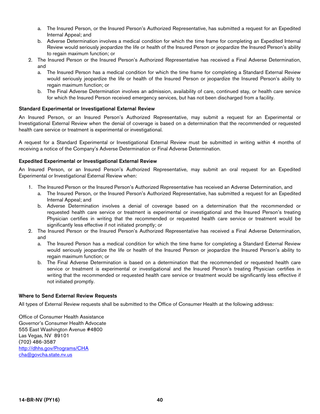- a. The Insured Person, or the Insured Person's Authorized Representative, has submitted a request for an Expedited Internal Appeal; and
- b. Adverse Determination involves a medical condition for which the time frame for completing an Expedited Internal Review would seriously jeopardize the life or health of the Insured Person or jeopardize the Insured Person's ability to regain maximum function; or
- 2. The Insured Person or the Insured Person's Authorized Representative has received a Final Adverse Determination, and
	- a. The Insured Person has a medical condition for which the time frame for completing a Standard External Review would seriously jeopardize the life or health of the Insured Person or jeopardize the Insured Person's ability to regain maximum function; or
	- b. The Final Adverse Determination involves an admission, availability of care, continued stay, or health care service for which the Insured Person received emergency services, but has not been discharged from a facility.

#### Standard Experimental or Investigational External Review

An Insured Person, or an Insured Person's Authorized Representative, may submit a request for an Experimental or Investigational External Review when the denial of coverage is based on a determination that the recommended or requested health care service or treatment is experimental or investigational.

A request for a Standard Experimental or Investigational External Review must be submitted in writing within 4 months of receiving a notice of the Company's Adverse Determination or Final Adverse Determination.

#### Expedited Experimental or Investigational External Review

An Insured Person, or an Insured Person's Authorized Representative, may submit an oral request for an Expedited Experimental or Investigational External Review when:

- 1. The Insured Person or the Insured Person's Authorized Representative has received an Adverse Determination, and
	- a. The Insured Person, or the Insured Person's Authorized Representative, has submitted a request for an Expedited Internal Appeal; and
	- b. Adverse Determination involves a denial of coverage based on a determination that the recommended or requested health care service or treatment is experimental or investigational and the Insured Person's treating Physician certifies in writing that the recommended or requested health care service or treatment would be significantly less effective if not initiated promptly; or
- 2. The Insured Person or the Insured Person's Authorized Representative has received a Final Adverse Determination, and
	- a. The Insured Person has a medical condition for which the time frame for completing a Standard External Review would seriously jeopardize the life or health of the Insured Person or jeopardize the Insured Person's ability to regain maximum function; or
	- b. The Final Adverse Determination is based on a determination that the recommended or requested health care service or treatment is experimental or investigational and the Insured Person's treating Physician certifies in writing that the recommended or requested health care service or treatment would be significantly less effective if not initiated promptly.

#### Where to Send External Review Requests

All types of External Review requests shall be submitted to the Office of Consumer Health at the following address:

Office of Consumer Health Assistance Governor's Consumer Health Advocate 555 East Washington Avenue #4800 Las Vegas, NV 89101 (702) 486-3587 http://dhhs.gov/Programs/CHA cha@govcha.state.nv.us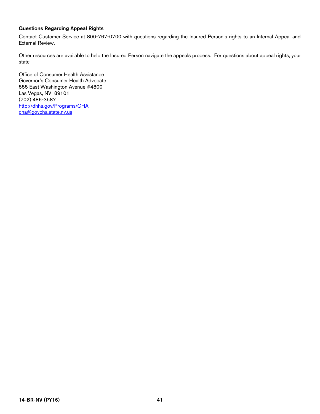# Questions Regarding Appeal Rights

Contact Customer Service at 800-767-0700 with questions regarding the Insured Person's rights to an Internal Appeal and External Review.

Other resources are available to help the Insured Person navigate the appeals process. For questions about appeal rights, your state

Office of Consumer Health Assistance Governor's Consumer Health Advocate 555 East Washington Avenue #4800 Las Vegas, NV 89101 (702) 486-3587 http://dhhs.gov/Programs/CHA cha@govcha.state.nv.us